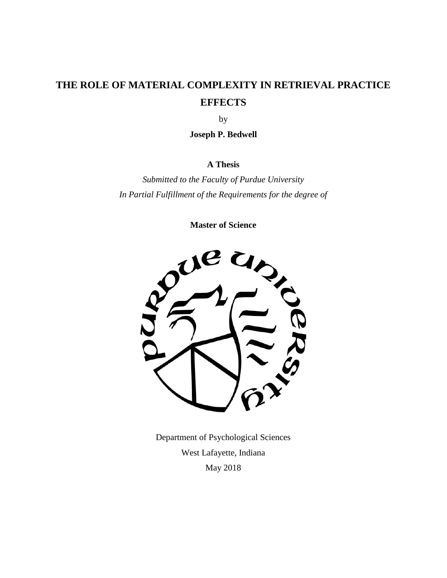# **THE ROLE OF MATERIAL COMPLEXITY IN RETRIEVAL PRACTICE EFFECTS**

by

**Joseph P. Bedwell** 

### **A Thesis**

*Submitted to the Faculty of Purdue University In Partial Fulfillment of the Requirements for the degree of* 

**Master of Science** 



Department of Psychological Sciences West Lafayette, Indiana May 2018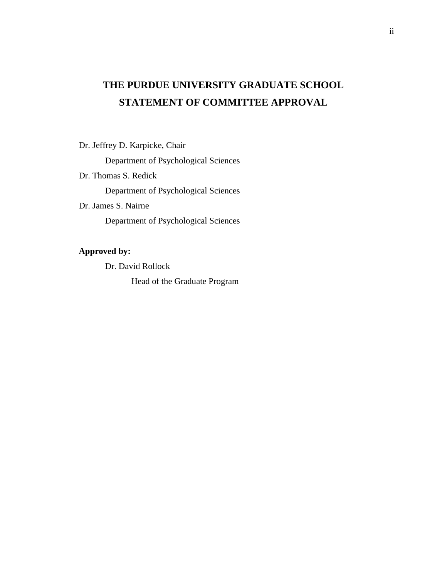# **THE PURDUE UNIVERSITY GRADUATE SCHOOL STATEMENT OF COMMITTEE APPROVAL**

Dr. Jeffrey D. Karpicke, Chair

Department of Psychological Sciences

Dr. Thomas S. Redick

Department of Psychological Sciences

Dr. James S. Nairne

Department of Psychological Sciences

## **Approved by:**

Dr. David Rollock

Head of the Graduate Program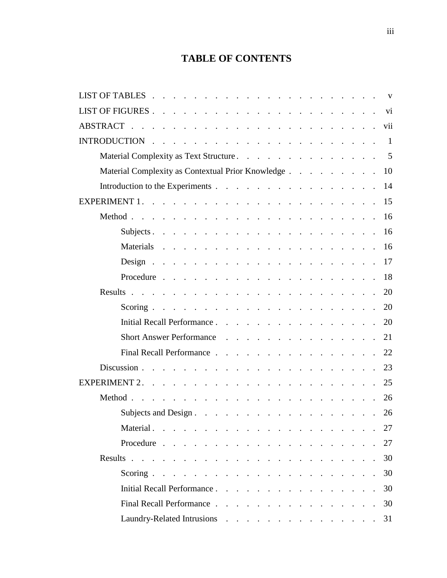# **TABLE OF CONTENTS**

|                                                   |  |  |  |  |  | $\mathbf{V}$   |
|---------------------------------------------------|--|--|--|--|--|----------------|
|                                                   |  |  |  |  |  |                |
|                                                   |  |  |  |  |  |                |
|                                                   |  |  |  |  |  | $\overline{1}$ |
| Material Complexity as Text Structure.            |  |  |  |  |  | 5              |
| Material Complexity as Contextual Prior Knowledge |  |  |  |  |  | 10             |
| Introduction to the Experiments                   |  |  |  |  |  | 14             |
|                                                   |  |  |  |  |  | 15             |
|                                                   |  |  |  |  |  | <sup>16</sup>  |
|                                                   |  |  |  |  |  | 16             |
|                                                   |  |  |  |  |  |                |
|                                                   |  |  |  |  |  | 17             |
|                                                   |  |  |  |  |  |                |
|                                                   |  |  |  |  |  | 20             |
|                                                   |  |  |  |  |  | 20             |
|                                                   |  |  |  |  |  |                |
| Short Answer Performance 21                       |  |  |  |  |  |                |
| Final Recall Performance                          |  |  |  |  |  | 22             |
|                                                   |  |  |  |  |  | 23             |
| EXPERIMENT $2. \cdot$                             |  |  |  |  |  | 25             |
|                                                   |  |  |  |  |  | 26             |
|                                                   |  |  |  |  |  | 26             |
|                                                   |  |  |  |  |  |                |
|                                                   |  |  |  |  |  | 27             |
|                                                   |  |  |  |  |  | 30             |
|                                                   |  |  |  |  |  | 30             |
| Initial Recall Performance.                       |  |  |  |  |  | 30             |
| Final Recall Performance                          |  |  |  |  |  | 30             |
| Laundry-Related Intrusions 31                     |  |  |  |  |  |                |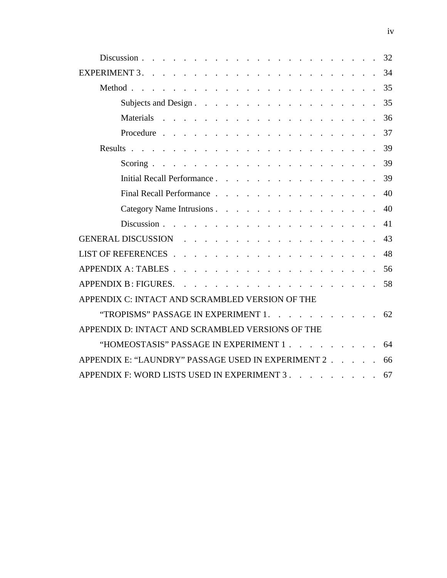| Subjects and Design. 35                                                                       |    |
|-----------------------------------------------------------------------------------------------|----|
|                                                                                               |    |
|                                                                                               |    |
|                                                                                               |    |
|                                                                                               |    |
| Initial Recall Performance. 39                                                                |    |
| Final Recall Performance 40                                                                   |    |
| Category Name Intrusions 40                                                                   |    |
|                                                                                               | 41 |
| GENERAL DISCUSSION 43                                                                         |    |
|                                                                                               | 48 |
| APPENDIX A: TABLES $\ldots$ $\ldots$ $\ldots$ $\ldots$ $\ldots$ $\ldots$ $\ldots$ $\ldots$ 56 |    |
|                                                                                               |    |
| APPENDIX C: INTACT AND SCRAMBLED VERSION OF THE                                               |    |
| "TROPISMS" PASSAGE IN EXPERIMENT 1. 62                                                        |    |
| APPENDIX D: INTACT AND SCRAMBLED VERSIONS OF THE                                              |    |
| "HOMEOSTASIS" PASSAGE IN EXPERIMENT 1 64                                                      |    |
| APPENDIX E: "LAUNDRY" PASSAGE USED IN EXPERIMENT 2                                            | 66 |
| APPENDIX F: WORD LISTS USED IN EXPERIMENT 3. 67                                               |    |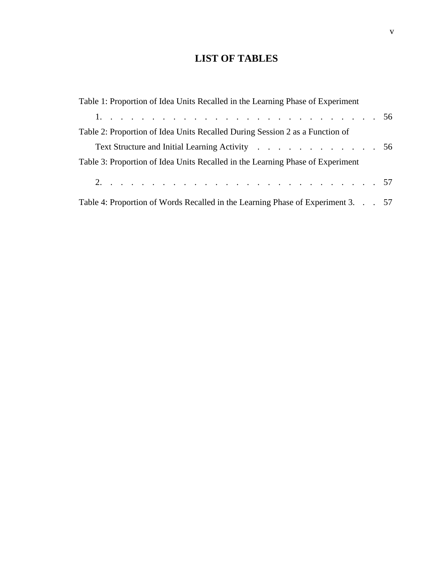# **LIST OF TABLES**

| Table 1: Proportion of Idea Units Recalled in the Learning Phase of Experiment  |  |
|---------------------------------------------------------------------------------|--|
|                                                                                 |  |
| Table 2: Proportion of Idea Units Recalled During Session 2 as a Function of    |  |
| Text Structure and Initial Learning Activity 56                                 |  |
| Table 3: Proportion of Idea Units Recalled in the Learning Phase of Experiment  |  |
|                                                                                 |  |
| Table 4: Proportion of Words Recalled in the Learning Phase of Experiment 3. 57 |  |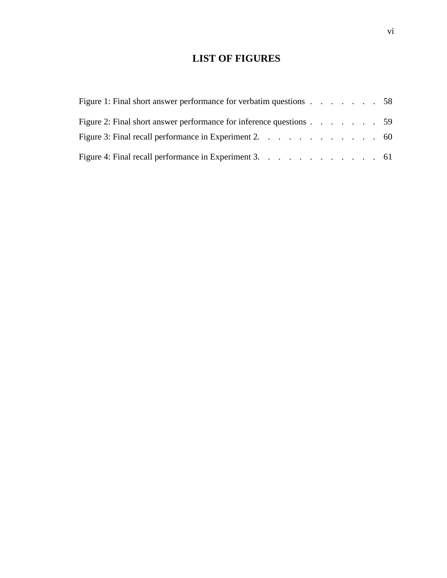# **LIST OF FIGURES**

| Figure 1: Final short answer performance for verbatim questions 58  |  |  |  |  |
|---------------------------------------------------------------------|--|--|--|--|
| Figure 2: Final short answer performance for inference questions 59 |  |  |  |  |
| Figure 3: Final recall performance in Experiment 2. $\ldots$ 60     |  |  |  |  |
| Figure 4: Final recall performance in Experiment 3. 61              |  |  |  |  |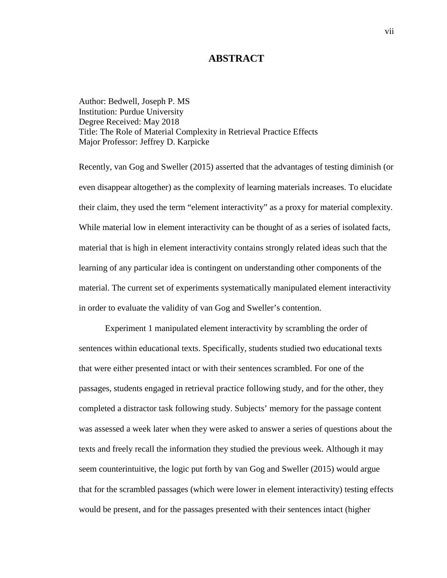#### **ABSTRACT**

 Author: Bedwell, Joseph P. MS Degree Received: May 2018 Institution: Purdue University Title: The Role of Material Complexity in Retrieval Practice Effects Major Professor: Jeffrey D. Karpicke

 While material low in element interactivity can be thought of as a series of isolated facts, Recently, van Gog and Sweller (2015) asserted that the advantages of testing diminish (or even disappear altogether) as the complexity of learning materials increases. To elucidate their claim, they used the term "element interactivity" as a proxy for material complexity. material that is high in element interactivity contains strongly related ideas such that the learning of any particular idea is contingent on understanding other components of the material. The current set of experiments systematically manipulated element interactivity in order to evaluate the validity of van Gog and Sweller's contention.

 seem counterintuitive, the logic put forth by van Gog and Sweller (2015) would argue Experiment 1 manipulated element interactivity by scrambling the order of sentences within educational texts. Specifically, students studied two educational texts that were either presented intact or with their sentences scrambled. For one of the passages, students engaged in retrieval practice following study, and for the other, they completed a distractor task following study. Subjects' memory for the passage content was assessed a week later when they were asked to answer a series of questions about the texts and freely recall the information they studied the previous week. Although it may that for the scrambled passages (which were lower in element interactivity) testing effects would be present, and for the passages presented with their sentences intact (higher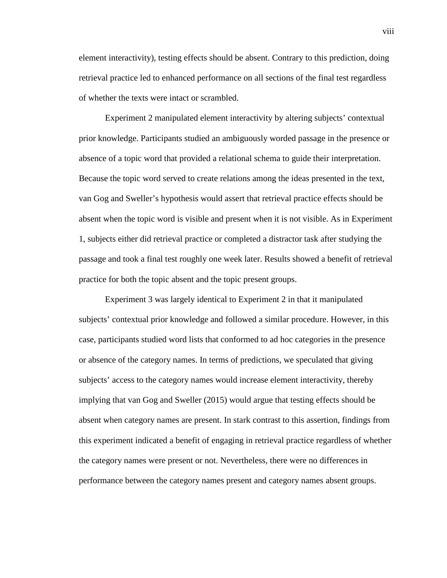element interactivity), testing effects should be absent. Contrary to this prediction, doing retrieval practice led to enhanced performance on all sections of the final test regardless of whether the texts were intact or scrambled.

Experiment 2 manipulated element interactivity by altering subjects' contextual prior knowledge. Participants studied an ambiguously worded passage in the presence or absence of a topic word that provided a relational schema to guide their interpretation. Because the topic word served to create relations among the ideas presented in the text, van Gog and Sweller's hypothesis would assert that retrieval practice effects should be absent when the topic word is visible and present when it is not visible. As in Experiment 1, subjects either did retrieval practice or completed a distractor task after studying the passage and took a final test roughly one week later. Results showed a benefit of retrieval practice for both the topic absent and the topic present groups.

 or absence of the category names. In terms of predictions, we speculated that giving Experiment 3 was largely identical to Experiment 2 in that it manipulated subjects' contextual prior knowledge and followed a similar procedure. However, in this case, participants studied word lists that conformed to ad hoc categories in the presence subjects' access to the category names would increase element interactivity, thereby implying that van Gog and Sweller (2015) would argue that testing effects should be absent when category names are present. In stark contrast to this assertion, findings from this experiment indicated a benefit of engaging in retrieval practice regardless of whether the category names were present or not. Nevertheless, there were no differences in performance between the category names present and category names absent groups.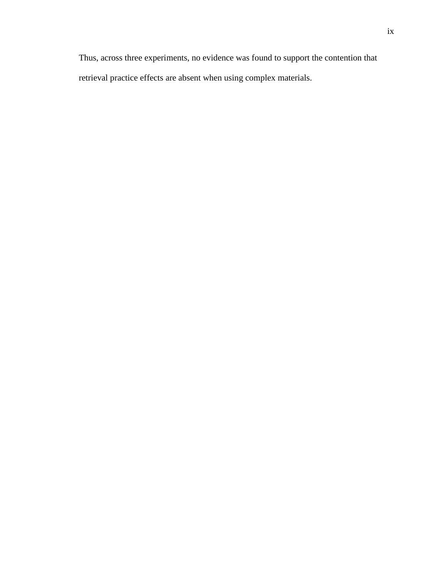Thus, across three experiments, no evidence was found to support the contention that retrieval practice effects are absent when using complex materials.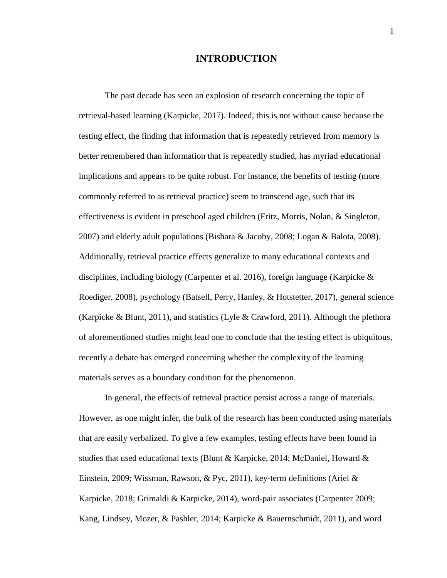#### **INTRODUCTION**

 testing effect, the finding that information that is repeatedly retrieved from memory is commonly referred to as retrieval practice) seem to transcend age, such that its 2007) and elderly adult populations (Bishara & Jacoby, 2008; Logan & Balota, 2008). (Karpicke & Blunt, 2011), and statistics (Lyle & Crawford, 2011). Although the plethora The past decade has seen an explosion of research concerning the topic of retrieval-based learning (Karpicke, 2017). Indeed, this is not without cause because the better remembered than information that is repeatedly studied, has myriad educational implications and appears to be quite robust. For instance, the benefits of testing (more effectiveness is evident in preschool aged children (Fritz, Morris, Nolan, & Singleton, Additionally, retrieval practice effects generalize to many educational contexts and disciplines, including biology (Carpenter et al. 2016), foreign language (Karpicke & Roediger, 2008), psychology (Batsell, Perry, Hanley, & Hotstetter, 2017), general science of aforementioned studies might lead one to conclude that the testing effect is ubiquitous, recently a debate has emerged concerning whether the complexity of the learning materials serves as a boundary condition for the phenomenon.

 that are easily verbalized. To give a few examples, testing effects have been found in studies that used educational texts (Blunt & Karpicke, 2014; McDaniel, Howard & Kang, Lindsey, Mozer, & Pashler, 2014; Karpicke & Bauernschmidt, 2011), and word In general, the effects of retrieval practice persist across a range of materials. However, as one might infer, the bulk of the research has been conducted using materials Einstein, 2009; Wissman, Rawson, & Pyc, 2011), key-term definitions (Ariel & Karpicke, 2018; Grimaldi & Karpicke, 2014), word-pair associates (Carpenter 2009;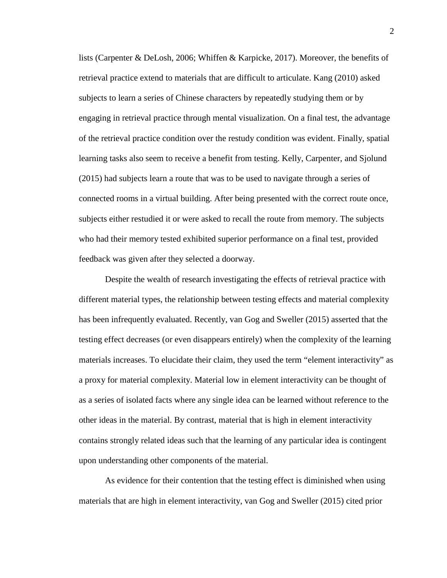lists (Carpenter & DeLosh, 2006; Whiffen & Karpicke, 2017). Moreover, the benefits of feedback was given after they selected a doorway. retrieval practice extend to materials that are difficult to articulate. Kang (2010) asked subjects to learn a series of Chinese characters by repeatedly studying them or by engaging in retrieval practice through mental visualization. On a final test, the advantage of the retrieval practice condition over the restudy condition was evident. Finally, spatial learning tasks also seem to receive a benefit from testing. Kelly, Carpenter, and Sjolund (2015) had subjects learn a route that was to be used to navigate through a series of connected rooms in a virtual building. After being presented with the correct route once, subjects either restudied it or were asked to recall the route from memory. The subjects who had their memory tested exhibited superior performance on a final test, provided

Despite the wealth of research investigating the effects of retrieval practice with different material types, the relationship between testing effects and material complexity has been infrequently evaluated. Recently, van Gog and Sweller (2015) asserted that the testing effect decreases (or even disappears entirely) when the complexity of the learning materials increases. To elucidate their claim, they used the term "element interactivity" as a proxy for material complexity. Material low in element interactivity can be thought of as a series of isolated facts where any single idea can be learned without reference to the other ideas in the material. By contrast, material that is high in element interactivity contains strongly related ideas such that the learning of any particular idea is contingent upon understanding other components of the material.

 As evidence for their contention that the testing effect is diminished when using materials that are high in element interactivity, van Gog and Sweller (2015) cited prior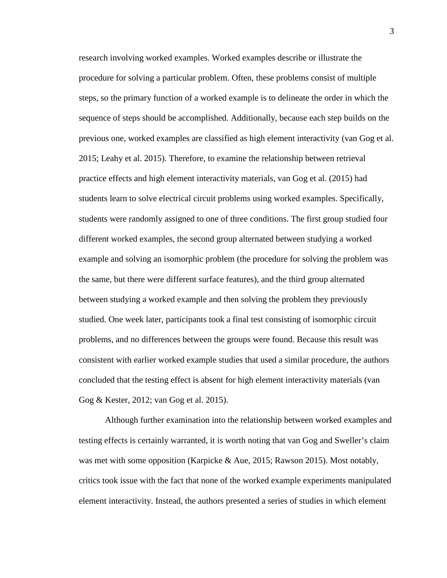research involving worked examples. Worked examples describe or illustrate the sequence of steps should be accomplished. Additionally, because each step builds on the the same, but there were different surface features), and the third group alternated studied. One week later, participants took a final test consisting of isomorphic circuit problems, and no differences between the groups were found. Because this result was Gog & Kester, 2012; van Gog et al. 2015). procedure for solving a particular problem. Often, these problems consist of multiple steps, so the primary function of a worked example is to delineate the order in which the previous one, worked examples are classified as high element interactivity (van Gog et al. 2015; Leahy et al. 2015). Therefore, to examine the relationship between retrieval practice effects and high element interactivity materials, van Gog et al. (2015) had students learn to solve electrical circuit problems using worked examples. Specifically, students were randomly assigned to one of three conditions. The first group studied four different worked examples, the second group alternated between studying a worked example and solving an isomorphic problem (the procedure for solving the problem was between studying a worked example and then solving the problem they previously consistent with earlier worked example studies that used a similar procedure, the authors concluded that the testing effect is absent for high element interactivity materials (van

Although further examination into the relationship between worked examples and testing effects is certainly warranted, it is worth noting that van Gog and Sweller's claim was met with some opposition (Karpicke & Aue, 2015; Rawson 2015). Most notably, critics took issue with the fact that none of the worked example experiments manipulated element interactivity. Instead, the authors presented a series of studies in which element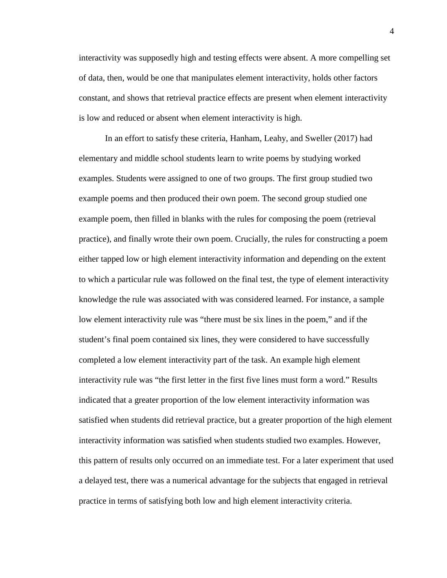is low and reduced or absent when element interactivity is high. interactivity was supposedly high and testing effects were absent. A more compelling set of data, then, would be one that manipulates element interactivity, holds other factors constant, and shows that retrieval practice effects are present when element interactivity

 example poem, then filled in blanks with the rules for composing the poem (retrieval low element interactivity rule was "there must be six lines in the poem," and if the a delayed test, there was a numerical advantage for the subjects that engaged in retrieval practice in terms of satisfying both low and high element interactivity criteria. In an effort to satisfy these criteria, Hanham, Leahy, and Sweller (2017) had elementary and middle school students learn to write poems by studying worked examples. Students were assigned to one of two groups. The first group studied two example poems and then produced their own poem. The second group studied one practice), and finally wrote their own poem. Crucially, the rules for constructing a poem either tapped low or high element interactivity information and depending on the extent to which a particular rule was followed on the final test, the type of element interactivity knowledge the rule was associated with was considered learned. For instance, a sample student's final poem contained six lines, they were considered to have successfully completed a low element interactivity part of the task. An example high element interactivity rule was "the first letter in the first five lines must form a word." Results indicated that a greater proportion of the low element interactivity information was satisfied when students did retrieval practice, but a greater proportion of the high element interactivity information was satisfied when students studied two examples. However, this pattern of results only occurred on an immediate test. For a later experiment that used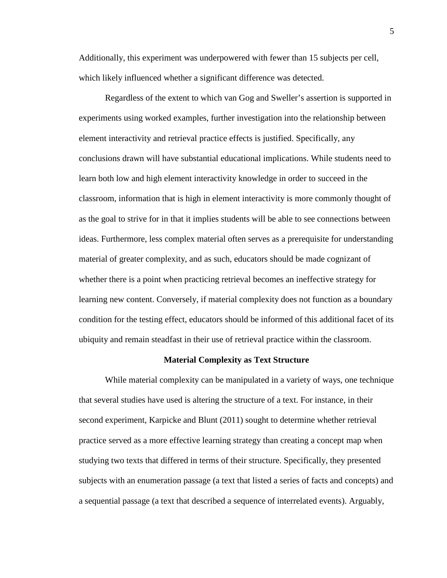Additionally, this experiment was underpowered with fewer than 15 subjects per cell, which likely influenced whether a significant difference was detected.

 conclusions drawn will have substantial educational implications. While students need to material of greater complexity, and as such, educators should be made cognizant of Regardless of the extent to which van Gog and Sweller's assertion is supported in experiments using worked examples, further investigation into the relationship between element interactivity and retrieval practice effects is justified. Specifically, any learn both low and high element interactivity knowledge in order to succeed in the classroom, information that is high in element interactivity is more commonly thought of as the goal to strive for in that it implies students will be able to see connections between ideas. Furthermore, less complex material often serves as a prerequisite for understanding whether there is a point when practicing retrieval becomes an ineffective strategy for learning new content. Conversely, if material complexity does not function as a boundary condition for the testing effect, educators should be informed of this additional facet of its ubiquity and remain steadfast in their use of retrieval practice within the classroom.

#### **Material Complexity as Text Structure**

 practice served as a more effective learning strategy than creating a concept map when studying two texts that differed in terms of their structure. Specifically, they presented subjects with an enumeration passage (a text that listed a series of facts and concepts) and While material complexity can be manipulated in a variety of ways, one technique that several studies have used is altering the structure of a text. For instance, in their second experiment, Karpicke and Blunt (2011) sought to determine whether retrieval a sequential passage (a text that described a sequence of interrelated events). Arguably,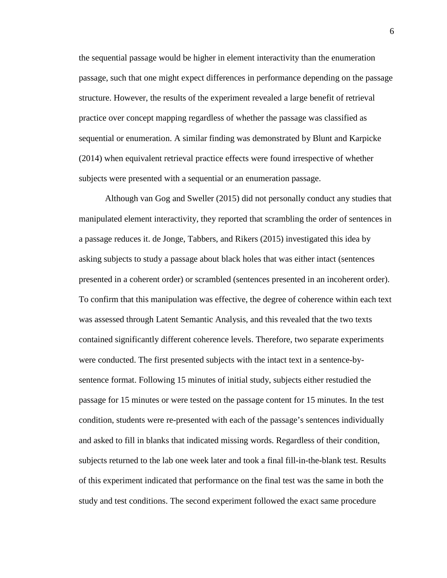the sequential passage would be higher in element interactivity than the enumeration passage, such that one might expect differences in performance depending on the passage structure. However, the results of the experiment revealed a large benefit of retrieval practice over concept mapping regardless of whether the passage was classified as sequential or enumeration. A similar finding was demonstrated by Blunt and Karpicke (2014) when equivalent retrieval practice effects were found irrespective of whether subjects were presented with a sequential or an enumeration passage.

 asking subjects to study a passage about black holes that was either intact (sentences Although van Gog and Sweller (2015) did not personally conduct any studies that manipulated element interactivity, they reported that scrambling the order of sentences in a passage reduces it. de Jonge, Tabbers, and Rikers (2015) investigated this idea by presented in a coherent order) or scrambled (sentences presented in an incoherent order). To confirm that this manipulation was effective, the degree of coherence within each text was assessed through Latent Semantic Analysis, and this revealed that the two texts contained significantly different coherence levels. Therefore, two separate experiments were conducted. The first presented subjects with the intact text in a sentence-bysentence format. Following 15 minutes of initial study, subjects either restudied the passage for 15 minutes or were tested on the passage content for 15 minutes. In the test condition, students were re-presented with each of the passage's sentences individually and asked to fill in blanks that indicated missing words. Regardless of their condition, subjects returned to the lab one week later and took a final fill-in-the-blank test. Results of this experiment indicated that performance on the final test was the same in both the study and test conditions. The second experiment followed the exact same procedure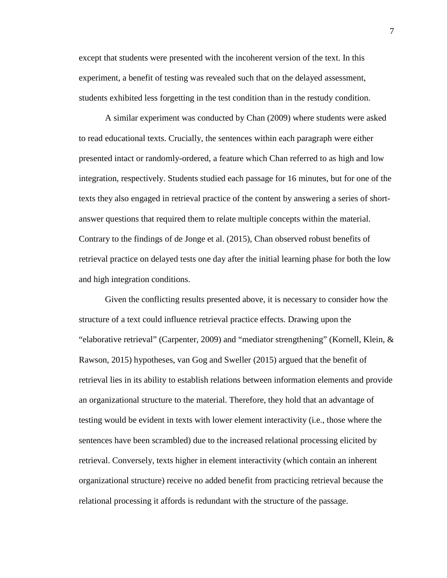students exhibited less forgetting in the test condition than in the restudy condition. except that students were presented with the incoherent version of the text. In this experiment, a benefit of testing was revealed such that on the delayed assessment,

 presented intact or randomly-ordered, a feature which Chan referred to as high and low texts they also engaged in retrieval practice of the content by answering a series of short- Contrary to the findings of de Jonge et al. (2015), Chan observed robust benefits of retrieval practice on delayed tests one day after the initial learning phase for both the low A similar experiment was conducted by Chan (2009) where students were asked to read educational texts. Crucially, the sentences within each paragraph were either integration, respectively. Students studied each passage for 16 minutes, but for one of the answer questions that required them to relate multiple concepts within the material. and high integration conditions.

 Rawson, 2015) hypotheses, van Gog and Sweller (2015) argued that the benefit of retrieval. Conversely, texts higher in element interactivity (which contain an inherent Given the conflicting results presented above, it is necessary to consider how the structure of a text could influence retrieval practice effects. Drawing upon the "elaborative retrieval" (Carpenter, 2009) and "mediator strengthening" (Kornell, Klein, & retrieval lies in its ability to establish relations between information elements and provide an organizational structure to the material. Therefore, they hold that an advantage of testing would be evident in texts with lower element interactivity (i.e., those where the sentences have been scrambled) due to the increased relational processing elicited by organizational structure) receive no added benefit from practicing retrieval because the relational processing it affords is redundant with the structure of the passage.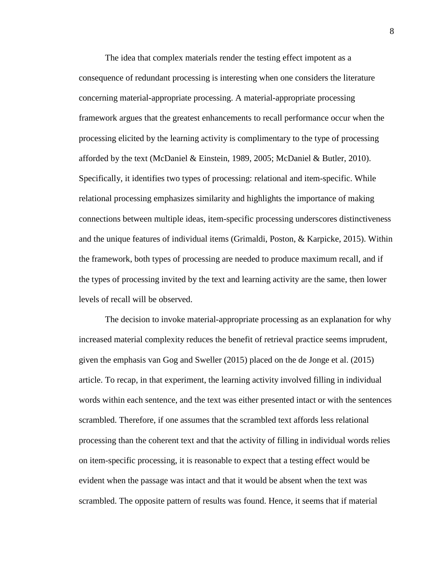The idea that complex materials render the testing effect impotent as a consequence of redundant processing is interesting when one considers the literature concerning material-appropriate processing. A material-appropriate processing framework argues that the greatest enhancements to recall performance occur when the processing elicited by the learning activity is complimentary to the type of processing afforded by the text (McDaniel & Einstein, 1989, 2005; McDaniel & Butler, 2010). Specifically, it identifies two types of processing: relational and item-specific. While relational processing emphasizes similarity and highlights the importance of making connections between multiple ideas, item-specific processing underscores distinctiveness and the unique features of individual items (Grimaldi, Poston, & Karpicke, 2015). Within the framework, both types of processing are needed to produce maximum recall, and if the types of processing invited by the text and learning activity are the same, then lower levels of recall will be observed.

 given the emphasis van Gog and Sweller (2015) placed on the de Jonge et al. (2015) words within each sentence, and the text was either presented intact or with the sentences The decision to invoke material-appropriate processing as an explanation for why increased material complexity reduces the benefit of retrieval practice seems imprudent, article. To recap, in that experiment, the learning activity involved filling in individual scrambled. Therefore, if one assumes that the scrambled text affords less relational processing than the coherent text and that the activity of filling in individual words relies on item-specific processing, it is reasonable to expect that a testing effect would be evident when the passage was intact and that it would be absent when the text was scrambled. The opposite pattern of results was found. Hence, it seems that if material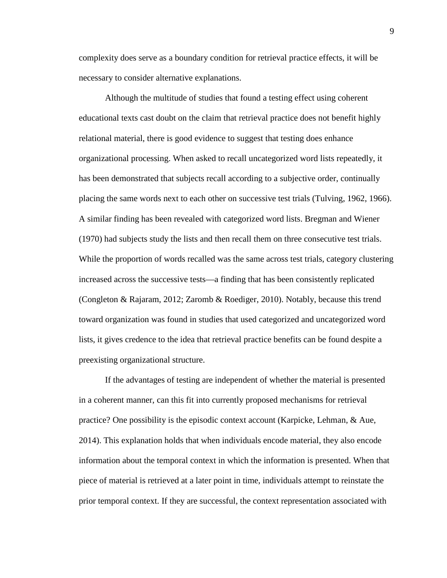necessary to consider alternative explanations. complexity does serve as a boundary condition for retrieval practice effects, it will be

 While the proportion of words recalled was the same across test trials, category clustering toward organization was found in studies that used categorized and uncategorized word Although the multitude of studies that found a testing effect using coherent educational texts cast doubt on the claim that retrieval practice does not benefit highly relational material, there is good evidence to suggest that testing does enhance organizational processing. When asked to recall uncategorized word lists repeatedly, it has been demonstrated that subjects recall according to a subjective order, continually placing the same words next to each other on successive test trials (Tulving, 1962, 1966). A similar finding has been revealed with categorized word lists. Bregman and Wiener (1970) had subjects study the lists and then recall them on three consecutive test trials. increased across the successive tests—a finding that has been consistently replicated (Congleton & Rajaram, 2012; Zaromb & Roediger, 2010). Notably, because this trend lists, it gives credence to the idea that retrieval practice benefits can be found despite a preexisting organizational structure.

 in a coherent manner, can this fit into currently proposed mechanisms for retrieval 2014). This explanation holds that when individuals encode material, they also encode If the advantages of testing are independent of whether the material is presented practice? One possibility is the episodic context account (Karpicke, Lehman, & Aue, information about the temporal context in which the information is presented. When that piece of material is retrieved at a later point in time, individuals attempt to reinstate the prior temporal context. If they are successful, the context representation associated with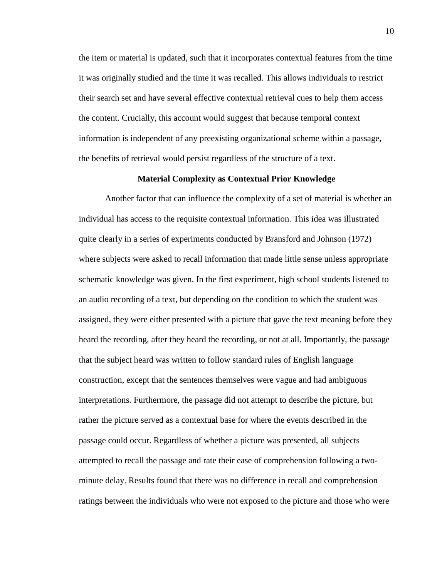their search set and have several effective contextual retrieval cues to help them access the benefits of retrieval would persist regardless of the structure of a text. the item or material is updated, such that it incorporates contextual features from the time it was originally studied and the time it was recalled. This allows individuals to restrict the content. Crucially, this account would suggest that because temporal context information is independent of any preexisting organizational scheme within a passage,

#### **Material Complexity as Contextual Prior Knowledge**

 schematic knowledge was given. In the first experiment, high school students listened to passage could occur. Regardless of whether a picture was presented, all subjects Another factor that can influence the complexity of a set of material is whether an individual has access to the requisite contextual information. This idea was illustrated quite clearly in a series of experiments conducted by Bransford and Johnson (1972) where subjects were asked to recall information that made little sense unless appropriate an audio recording of a text, but depending on the condition to which the student was assigned, they were either presented with a picture that gave the text meaning before they heard the recording, after they heard the recording, or not at all. Importantly, the passage that the subject heard was written to follow standard rules of English language construction, except that the sentences themselves were vague and had ambiguous interpretations. Furthermore, the passage did not attempt to describe the picture, but rather the picture served as a contextual base for where the events described in the attempted to recall the passage and rate their ease of comprehension following a twominute delay. Results found that there was no difference in recall and comprehension ratings between the individuals who were not exposed to the picture and those who were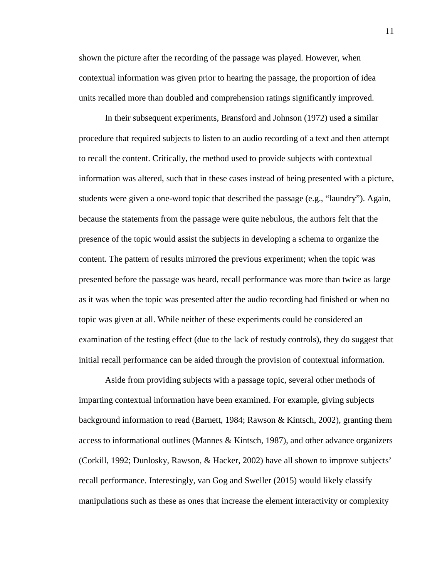shown the picture after the recording of the passage was played. However, when contextual information was given prior to hearing the passage, the proportion of idea units recalled more than doubled and comprehension ratings significantly improved.

 topic was given at all. While neither of these experiments could be considered an initial recall performance can be aided through the provision of contextual information. In their subsequent experiments, Bransford and Johnson (1972) used a similar procedure that required subjects to listen to an audio recording of a text and then attempt to recall the content. Critically, the method used to provide subjects with contextual information was altered, such that in these cases instead of being presented with a picture, students were given a one-word topic that described the passage (e.g., "laundry"). Again, because the statements from the passage were quite nebulous, the authors felt that the presence of the topic would assist the subjects in developing a schema to organize the content. The pattern of results mirrored the previous experiment; when the topic was presented before the passage was heard, recall performance was more than twice as large as it was when the topic was presented after the audio recording had finished or when no examination of the testing effect (due to the lack of restudy controls), they do suggest that

 recall performance. Interestingly, van Gog and Sweller (2015) would likely classify manipulations such as these as ones that increase the element interactivity or complexity Aside from providing subjects with a passage topic, several other methods of imparting contextual information have been examined. For example, giving subjects background information to read (Barnett, 1984; Rawson & Kintsch, 2002), granting them access to informational outlines (Mannes & Kintsch, 1987), and other advance organizers (Corkill, 1992; Dunlosky, Rawson, & Hacker, 2002) have all shown to improve subjects'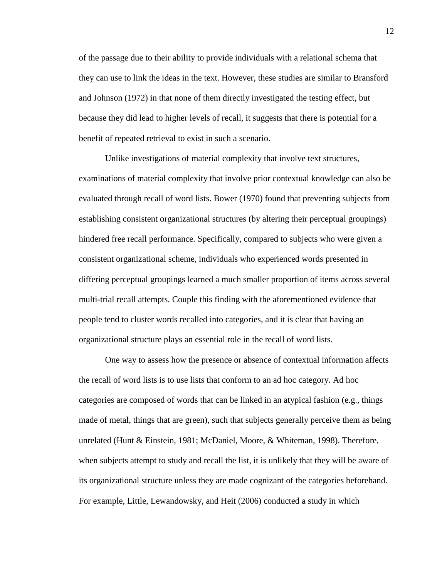of the passage due to their ability to provide individuals with a relational schema that they can use to link the ideas in the text. However, these studies are similar to Bransford and Johnson (1972) in that none of them directly investigated the testing effect, but because they did lead to higher levels of recall, it suggests that there is potential for a benefit of repeated retrieval to exist in such a scenario.

 hindered free recall performance. Specifically, compared to subjects who were given a multi-trial recall attempts. Couple this finding with the aforementioned evidence that Unlike investigations of material complexity that involve text structures, examinations of material complexity that involve prior contextual knowledge can also be evaluated through recall of word lists. Bower (1970) found that preventing subjects from establishing consistent organizational structures (by altering their perceptual groupings) consistent organizational scheme, individuals who experienced words presented in differing perceptual groupings learned a much smaller proportion of items across several people tend to cluster words recalled into categories, and it is clear that having an organizational structure plays an essential role in the recall of word lists.

 categories are composed of words that can be linked in an atypical fashion (e.g., things For example, Little, Lewandowsky, and Heit (2006) conducted a study in which One way to assess how the presence or absence of contextual information affects the recall of word lists is to use lists that conform to an ad hoc category. Ad hoc made of metal, things that are green), such that subjects generally perceive them as being unrelated (Hunt & Einstein, 1981; McDaniel, Moore, & Whiteman, 1998). Therefore, when subjects attempt to study and recall the list, it is unlikely that they will be aware of its organizational structure unless they are made cognizant of the categories beforehand.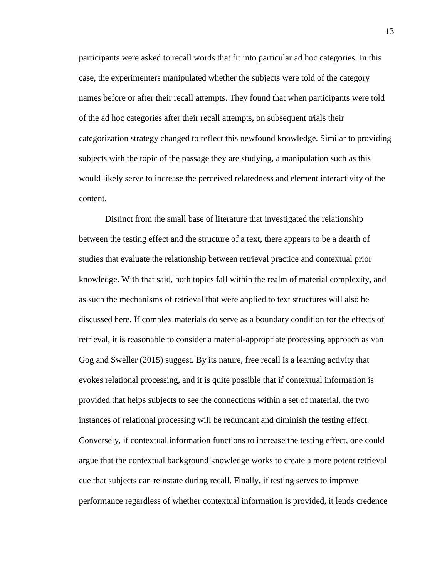participants were asked to recall words that fit into particular ad hoc categories. In this case, the experimenters manipulated whether the subjects were told of the category names before or after their recall attempts. They found that when participants were told of the ad hoc categories after their recall attempts, on subsequent trials their categorization strategy changed to reflect this newfound knowledge. Similar to providing subjects with the topic of the passage they are studying, a manipulation such as this would likely serve to increase the perceived relatedness and element interactivity of the content.

 Distinct from the small base of literature that investigated the relationship discussed here. If complex materials do serve as a boundary condition for the effects of provided that helps subjects to see the connections within a set of material, the two Conversely, if contextual information functions to increase the testing effect, one could argue that the contextual background knowledge works to create a more potent retrieval between the testing effect and the structure of a text, there appears to be a dearth of studies that evaluate the relationship between retrieval practice and contextual prior knowledge. With that said, both topics fall within the realm of material complexity, and as such the mechanisms of retrieval that were applied to text structures will also be retrieval, it is reasonable to consider a material-appropriate processing approach as van Gog and Sweller (2015) suggest. By its nature, free recall is a learning activity that evokes relational processing, and it is quite possible that if contextual information is instances of relational processing will be redundant and diminish the testing effect. cue that subjects can reinstate during recall. Finally, if testing serves to improve performance regardless of whether contextual information is provided, it lends credence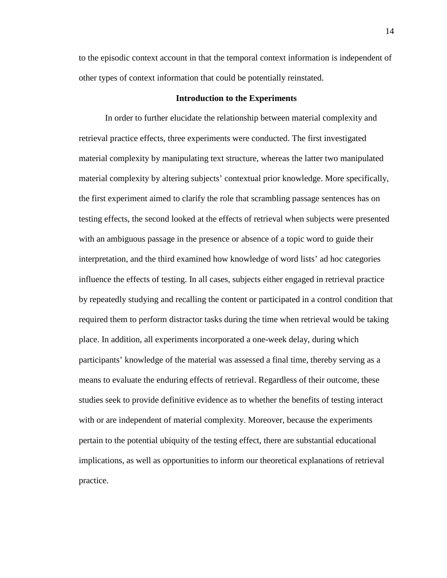to the episodic context account in that the temporal context information is independent of other types of context information that could be potentially reinstated.

#### **Introduction to the Experiments**

 In order to further elucidate the relationship between material complexity and testing effects, the second looked at the effects of retrieval when subjects were presented with an ambiguous passage in the presence or absence of a topic word to guide their interpretation, and the third examined how knowledge of word lists' ad hoc categories by repeatedly studying and recalling the content or participated in a control condition that place. In addition, all experiments incorporated a one-week delay, during which participants' knowledge of the material was assessed a final time, thereby serving as a studies seek to provide definitive evidence as to whether the benefits of testing interact with or are independent of material complexity. Moreover, because the experiments practice. retrieval practice effects, three experiments were conducted. The first investigated material complexity by manipulating text structure, whereas the latter two manipulated material complexity by altering subjects' contextual prior knowledge. More specifically, the first experiment aimed to clarify the role that scrambling passage sentences has on influence the effects of testing. In all cases, subjects either engaged in retrieval practice required them to perform distractor tasks during the time when retrieval would be taking means to evaluate the enduring effects of retrieval. Regardless of their outcome, these pertain to the potential ubiquity of the testing effect, there are substantial educational implications, as well as opportunities to inform our theoretical explanations of retrieval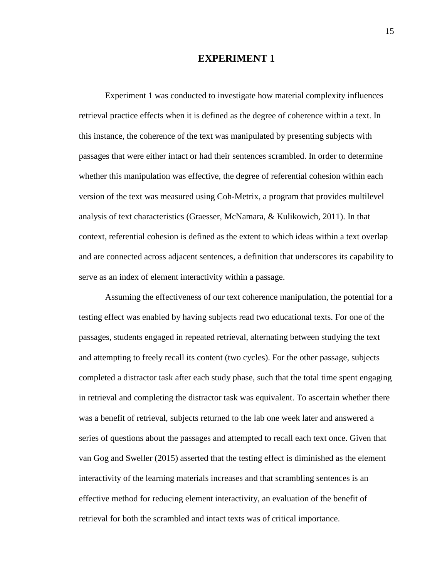#### **EXPERIMENT 1**

 version of the text was measured using Coh-Metrix, a program that provides multilevel and are connected across adjacent sentences, a definition that underscores its capability to Experiment 1 was conducted to investigate how material complexity influences retrieval practice effects when it is defined as the degree of coherence within a text. In this instance, the coherence of the text was manipulated by presenting subjects with passages that were either intact or had their sentences scrambled. In order to determine whether this manipulation was effective, the degree of referential cohesion within each analysis of text characteristics (Graesser, McNamara, & Kulikowich, 2011). In that context, referential cohesion is defined as the extent to which ideas within a text overlap serve as an index of element interactivity within a passage.

 Assuming the effectiveness of our text coherence manipulation, the potential for a and attempting to freely recall its content (two cycles). For the other passage, subjects series of questions about the passages and attempted to recall each text once. Given that effective method for reducing element interactivity, an evaluation of the benefit of retrieval for both the scrambled and intact texts was of critical importance. testing effect was enabled by having subjects read two educational texts. For one of the passages, students engaged in repeated retrieval, alternating between studying the text completed a distractor task after each study phase, such that the total time spent engaging in retrieval and completing the distractor task was equivalent. To ascertain whether there was a benefit of retrieval, subjects returned to the lab one week later and answered a van Gog and Sweller (2015) asserted that the testing effect is diminished as the element interactivity of the learning materials increases and that scrambling sentences is an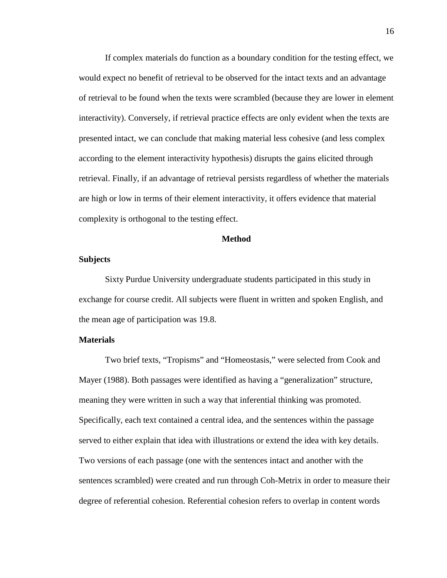presented intact, we can conclude that making material less cohesive (and less complex retrieval. Finally, if an advantage of retrieval persists regardless of whether the materials If complex materials do function as a boundary condition for the testing effect, we would expect no benefit of retrieval to be observed for the intact texts and an advantage of retrieval to be found when the texts were scrambled (because they are lower in element interactivity). Conversely, if retrieval practice effects are only evident when the texts are according to the element interactivity hypothesis) disrupts the gains elicited through are high or low in terms of their element interactivity, it offers evidence that material complexity is orthogonal to the testing effect.

#### **Method**

#### **Subjects**

 exchange for course credit. All subjects were fluent in written and spoken English, and Sixty Purdue University undergraduate students participated in this study in the mean age of participation was 19.8.

#### **Materials**

 Mayer (1988). Both passages were identified as having a "generalization" structure, Two versions of each passage (one with the sentences intact and another with the Two brief texts, "Tropisms" and "Homeostasis," were selected from Cook and meaning they were written in such a way that inferential thinking was promoted. Specifically, each text contained a central idea, and the sentences within the passage served to either explain that idea with illustrations or extend the idea with key details. sentences scrambled) were created and run through Coh-Metrix in order to measure their degree of referential cohesion. Referential cohesion refers to overlap in content words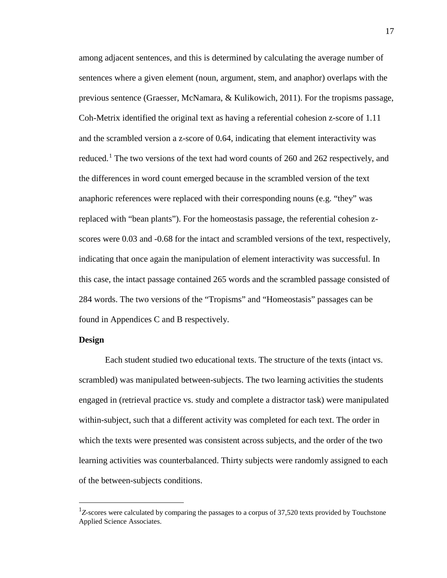sentences where a given element (noun, argument, stem, and anaphor) overlaps with the the differences in word count emerged because in the scrambled version of the text indicating that once again the manipulation of element interactivity was successful. In found in Appendices C and B respectively. among adjacent sentences, and this is determined by calculating the average number of previous sentence (Graesser, McNamara, & Kulikowich, 2011). For the tropisms passage, Coh-Metrix identified the original text as having a referential cohesion z-score of 1.11 and the scrambled version a z-score of 0.64, indicating that element interactivity was reduced.<sup>1</sup> The two versions of the text had word counts of 260 and 262 respectively, and anaphoric references were replaced with their corresponding nouns (e.g. "they" was replaced with "bean plants"). For the homeostasis passage, the referential cohesion zscores were 0.03 and -0.68 for the intact and scrambled versions of the text, respectively, this case, the intact passage contained 265 words and the scrambled passage consisted of 284 words. The two versions of the "Tropisms" and "Homeostasis" passages can be

#### **Design**

-

Each student studied two educational texts. The structure of the texts (intact vs. scrambled) was manipulated between-subjects. The two learning activities the students engaged in (retrieval practice vs. study and complete a distractor task) were manipulated within-subject, such that a different activity was completed for each text. The order in which the texts were presented was consistent across subjects, and the order of the two learning activities was counterbalanced. Thirty subjects were randomly assigned to each of the between-subjects conditions.

<span id="page-25-0"></span><sup>&</sup>lt;sup>1</sup>Z-scores were calculated by comparing the passages to a corpus of 37,520 texts provided by Touchstone Applied Science Associates.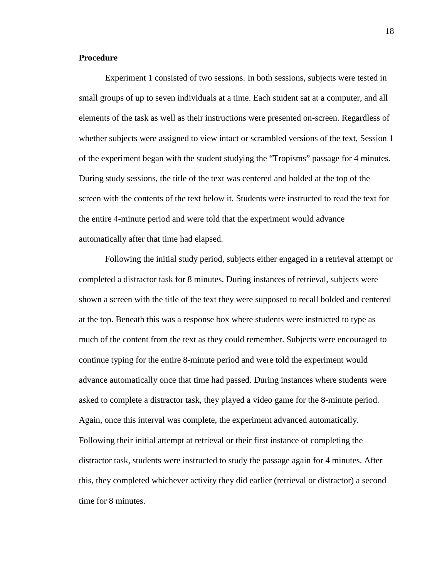#### **Procedure**

 of the experiment began with the student studying the "Tropisms" passage for 4 minutes. Experiment 1 consisted of two sessions. In both sessions, subjects were tested in small groups of up to seven individuals at a time. Each student sat at a computer, and all elements of the task as well as their instructions were presented on-screen. Regardless of whether subjects were assigned to view intact or scrambled versions of the text, Session 1 During study sessions, the title of the text was centered and bolded at the top of the screen with the contents of the text below it. Students were instructed to read the text for the entire 4-minute period and were told that the experiment would advance automatically after that time had elapsed.

 at the top. Beneath this was a response box where students were instructed to type as Following the initial study period, subjects either engaged in a retrieval attempt or completed a distractor task for 8 minutes. During instances of retrieval, subjects were shown a screen with the title of the text they were supposed to recall bolded and centered much of the content from the text as they could remember. Subjects were encouraged to continue typing for the entire 8-minute period and were told the experiment would advance automatically once that time had passed. During instances where students were asked to complete a distractor task, they played a video game for the 8-minute period. Again, once this interval was complete, the experiment advanced automatically. Following their initial attempt at retrieval or their first instance of completing the distractor task, students were instructed to study the passage again for 4 minutes. After this, they completed whichever activity they did earlier (retrieval or distractor) a second time for 8 minutes.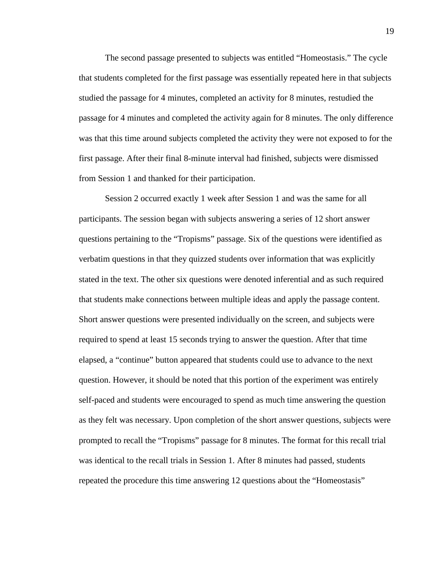passage for 4 minutes and completed the activity again for 8 minutes. The only difference The second passage presented to subjects was entitled "Homeostasis." The cycle that students completed for the first passage was essentially repeated here in that subjects studied the passage for 4 minutes, completed an activity for 8 minutes, restudied the was that this time around subjects completed the activity they were not exposed to for the first passage. After their final 8-minute interval had finished, subjects were dismissed from Session 1 and thanked for their participation.

 Session 2 occurred exactly 1 week after Session 1 and was the same for all verbatim questions in that they quizzed students over information that was explicitly elapsed, a "continue" button appeared that students could use to advance to the next self-paced and students were encouraged to spend as much time answering the question participants. The session began with subjects answering a series of 12 short answer questions pertaining to the "Tropisms" passage. Six of the questions were identified as stated in the text. The other six questions were denoted inferential and as such required that students make connections between multiple ideas and apply the passage content. Short answer questions were presented individually on the screen, and subjects were required to spend at least 15 seconds trying to answer the question. After that time question. However, it should be noted that this portion of the experiment was entirely as they felt was necessary. Upon completion of the short answer questions, subjects were prompted to recall the "Tropisms" passage for 8 minutes. The format for this recall trial was identical to the recall trials in Session 1. After 8 minutes had passed, students repeated the procedure this time answering 12 questions about the "Homeostasis"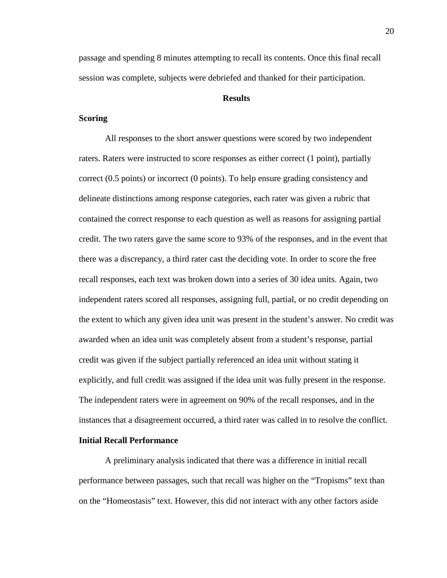passage and spending 8 minutes attempting to recall its contents. Once this final recall session was complete, subjects were debriefed and thanked for their participation.

#### **Results**

#### **Scoring**

 raters. Raters were instructed to score responses as either correct (1 point), partially delineate distinctions among response categories, each rater was given a rubric that there was a discrepancy, a third rater cast the deciding vote. In order to score the free awarded when an idea unit was completely absent from a student's response, partial The independent raters were in agreement on 90% of the recall responses, and in the All responses to the short answer questions were scored by two independent correct (0.5 points) or incorrect (0 points). To help ensure grading consistency and contained the correct response to each question as well as reasons for assigning partial credit. The two raters gave the same score to 93% of the responses, and in the event that recall responses, each text was broken down into a series of 30 idea units. Again, two independent raters scored all responses, assigning full, partial, or no credit depending on the extent to which any given idea unit was present in the student's answer. No credit was credit was given if the subject partially referenced an idea unit without stating it explicitly, and full credit was assigned if the idea unit was fully present in the response. instances that a disagreement occurred, a third rater was called in to resolve the conflict.

#### **Initial Recall Performance**

A preliminary analysis indicated that there was a difference in initial recall performance between passages, such that recall was higher on the "Tropisms" text than on the "Homeostasis" text. However, this did not interact with any other factors aside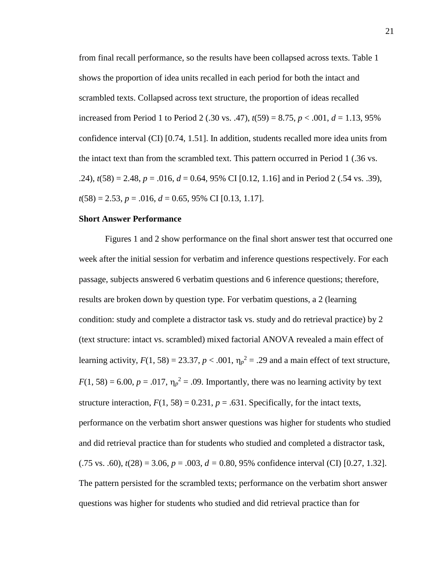from final recall performance, so the results have been collapsed across texts. Table 1 increased from Period 1 to Period 2 (.30 vs. .47), *t*(59) = 8.75, *p* < .001, *d* = 1.13, 95% .24),  $t(58) = 2.48$ ,  $p = .016$ ,  $d = 0.64$ , 95% CI [0.12, 1.16] and in Period 2 (.54 vs. .39), *t*(58) = 2.53, *p* = .016, *d* = 0.65, 95% CI [0.13, 1.17]. shows the proportion of idea units recalled in each period for both the intact and scrambled texts. Collapsed across text structure, the proportion of ideas recalled confidence interval (CI) [0.74, 1.51]. In addition, students recalled more idea units from the intact text than from the scrambled text. This pattern occurred in Period 1 (.36 vs.

#### **Short Answer Performance**

learning activity,  $F(1, 58) = 23.37$ ,  $p < .001$ ,  $\eta_p^2 = .29$  and a main effect of text structure,  $F(1, 58) = 6.00$ ,  $p = .017$ ,  $\eta_p^2 = .09$ . Importantly, there was no learning activity by text Figures 1 and 2 show performance on the final short answer test that occurred one week after the initial session for verbatim and inference questions respectively. For each passage, subjects answered 6 verbatim questions and 6 inference questions; therefore, results are broken down by question type. For verbatim questions, a 2 (learning condition: study and complete a distractor task vs. study and do retrieval practice) by 2 (text structure: intact vs. scrambled) mixed factorial ANOVA revealed a main effect of structure interaction,  $F(1, 58) = 0.231$ ,  $p = .631$ . Specifically, for the intact texts, performance on the verbatim short answer questions was higher for students who studied and did retrieval practice than for students who studied and completed a distractor task,  $(0.75 \text{ vs. } 0.60)$ ,  $t(28) = 3.06$ ,  $p = 0.003$ ,  $d = 0.80$ , 95% confidence interval (CI) [0.27, 1.32]. The pattern persisted for the scrambled texts; performance on the verbatim short answer questions was higher for students who studied and did retrieval practice than for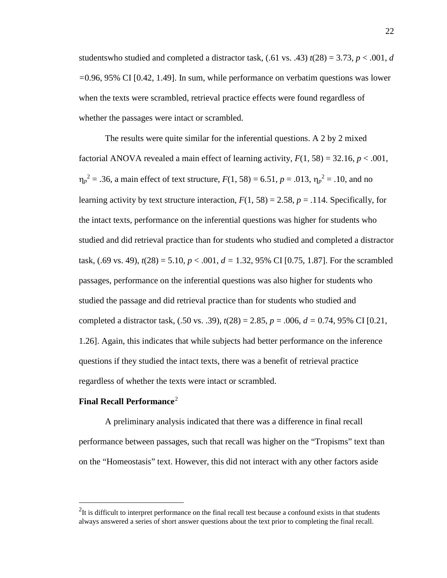studentswho studied and completed a distractor task,  $(.61 \text{ vs. } .43) t(28) = 3.73, p < .001, d$ *=*0.96, 95% CI [0.42, 1.49]. In sum, while performance on verbatim questions was lower when the texts were scrambled, retrieval practice effects were found regardless of whether the passages were intact or scrambled.

 $\eta_p^2 = .36$ , a main effect of text structure,  $F(1, 58) = 6.51$ ,  $p = .013$ ,  $\eta_p^2 = .10$ , and no The results were quite similar for the inferential questions. A 2 by 2 mixed factorial ANOVA revealed a main effect of learning activity,  $F(1, 58) = 32.16$ ,  $p < .001$ , learning activity by text structure interaction,  $F(1, 58) = 2.58$ ,  $p = .114$ . Specifically, for the intact texts, performance on the inferential questions was higher for students who studied and did retrieval practice than for students who studied and completed a distractor task,  $(.69 \text{ vs. } 49)$ ,  $t(28) = 5.10$ ,  $p < .001$ ,  $d = 1.32$ , 95% CI [0.75, 1.87]. For the scrambled passages, performance on the inferential questions was also higher for students who studied the passage and did retrieval practice than for students who studied and completed a distractor task, (.50 vs. .39), *t*(28) = 2.85, *p* = .006, *d =* 0.74, 95% CI [0.21, 1.26]. Again, this indicates that while subjects had better performance on the inference questions if they studied the intact texts, there was a benefit of retrieval practice regardless of whether the texts were intact or scrambled.

### **Final Recall Performance**[2](#page-30-0)

 $\overline{a}$ 

A preliminary analysis indicated that there was a difference in final recall performance between passages, such that recall was higher on the "Tropisms" text than on the "Homeostasis" text. However, this did not interact with any other factors aside

<span id="page-30-0"></span> $2$ It is difficult to interpret performance on the final recall test because a confound exists in that students always answered a series of short answer questions about the text prior to completing the final recall.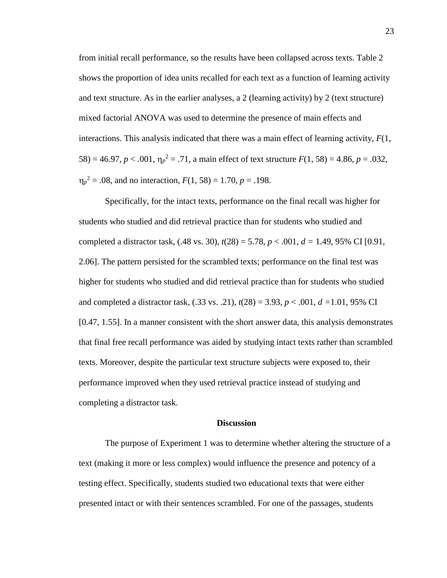58) = 46.97,  $p < .001$ ,  $\eta_p^2 = .71$ , a main effect of text structure  $F(1, 58) = 4.86$ ,  $p = .032$ ,  $\eta_p^2 = 0.08$ , and no interaction,  $F(1, 58) = 1.70$ ,  $p = 0.198$ . from initial recall performance, so the results have been collapsed across texts. Table 2 shows the proportion of idea units recalled for each text as a function of learning activity and text structure. As in the earlier analyses, a 2 (learning activity) by 2 (text structure) mixed factorial ANOVA was used to determine the presence of main effects and interactions. This analysis indicated that there was a main effect of learning activity, *F*(1,

 2.06]. The pattern persisted for the scrambled texts; performance on the final test was Specifically, for the intact texts, performance on the final recall was higher for students who studied and did retrieval practice than for students who studied and completed a distractor task, (.48 vs. 30), *t*(28) = 5.78, *p* < .001, *d =* 1.49, 95% CI [0.91, higher for students who studied and did retrieval practice than for students who studied and completed a distractor task, (.33 vs. .21), *t*(28) = 3.93, *p* < .001, *d =*1.01, 95% CI [0.47, 1.55]. In a manner consistent with the short answer data, this analysis demonstrates that final free recall performance was aided by studying intact texts rather than scrambled texts. Moreover, despite the particular text structure subjects were exposed to, their performance improved when they used retrieval practice instead of studying and completing a distractor task.

#### **Discussion**

The purpose of Experiment 1 was to determine whether altering the structure of a text (making it more or less complex) would influence the presence and potency of a testing effect. Specifically, students studied two educational texts that were either presented intact or with their sentences scrambled. For one of the passages, students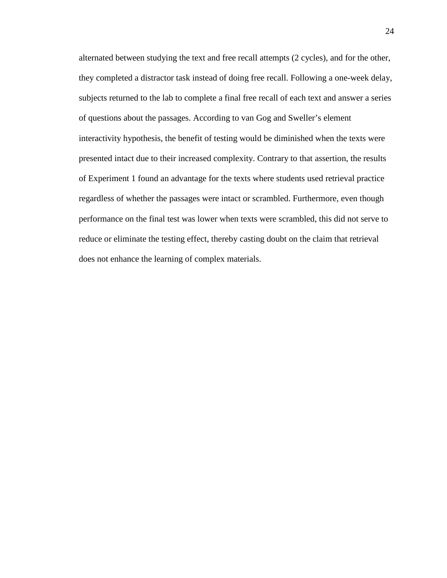alternated between studying the text and free recall attempts (2 cycles), and for the other, they completed a distractor task instead of doing free recall. Following a one-week delay, of questions about the passages. According to van Gog and Sweller's element performance on the final test was lower when texts were scrambled, this did not serve to does not enhance the learning of complex materials. subjects returned to the lab to complete a final free recall of each text and answer a series interactivity hypothesis, the benefit of testing would be diminished when the texts were presented intact due to their increased complexity. Contrary to that assertion, the results of Experiment 1 found an advantage for the texts where students used retrieval practice regardless of whether the passages were intact or scrambled. Furthermore, even though reduce or eliminate the testing effect, thereby casting doubt on the claim that retrieval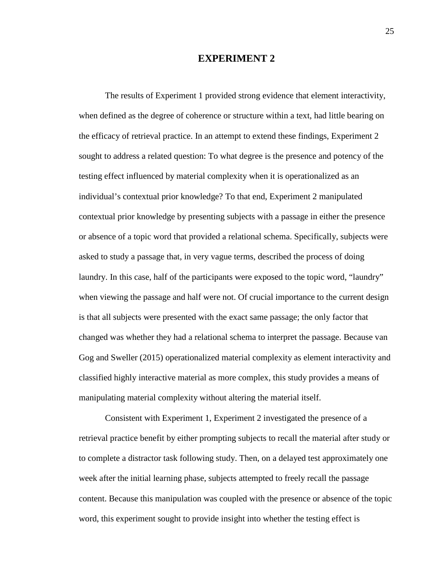### **EXPERIMENT 2**

 the efficacy of retrieval practice. In an attempt to extend these findings, Experiment 2 testing effect influenced by material complexity when it is operationalized as an individual's contextual prior knowledge? To that end, Experiment 2 manipulated or absence of a topic word that provided a relational schema. Specifically, subjects were asked to study a passage that, in very vague terms, described the process of doing is that all subjects were presented with the exact same passage; the only factor that Gog and Sweller (2015) operationalized material complexity as element interactivity and classified highly interactive material as more complex, this study provides a means of manipulating material complexity without altering the material itself. manipulating material complexity without altering the material itself. Consistent with Experiment 1, Experiment 2 investigated the presence of a The results of Experiment 1 provided strong evidence that element interactivity, when defined as the degree of coherence or structure within a text, had little bearing on sought to address a related question: To what degree is the presence and potency of the contextual prior knowledge by presenting subjects with a passage in either the presence laundry. In this case, half of the participants were exposed to the topic word, "laundry" when viewing the passage and half were not. Of crucial importance to the current design changed was whether they had a relational schema to interpret the passage. Because van

 to complete a distractor task following study. Then, on a delayed test approximately one content. Because this manipulation was coupled with the presence or absence of the topic word, this experiment sought to provide insight into whether the testing effect is retrieval practice benefit by either prompting subjects to recall the material after study or week after the initial learning phase, subjects attempted to freely recall the passage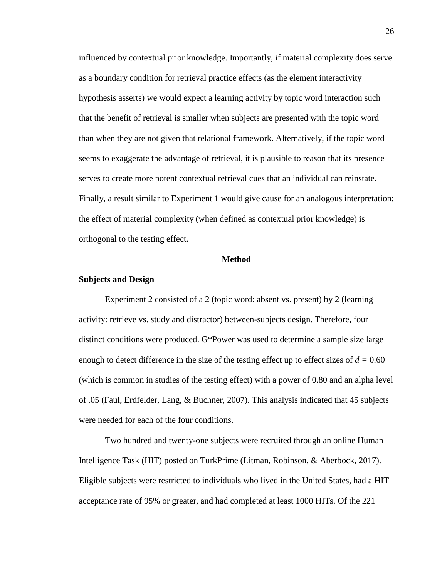influenced by contextual prior knowledge. Importantly, if material complexity does serve as a boundary condition for retrieval practice effects (as the element interactivity hypothesis asserts) we would expect a learning activity by topic word interaction such that the benefit of retrieval is smaller when subjects are presented with the topic word than when they are not given that relational framework. Alternatively, if the topic word seems to exaggerate the advantage of retrieval, it is plausible to reason that its presence serves to create more potent contextual retrieval cues that an individual can reinstate. Finally, a result similar to Experiment 1 would give cause for an analogous interpretation: the effect of material complexity (when defined as contextual prior knowledge) is orthogonal to the testing effect.

#### **Method**

#### **Subjects and Design**

Experiment 2 consisted of a 2 (topic word: absent vs. present) by 2 (learning activity: retrieve vs. study and distractor) between-subjects design. Therefore, four distinct conditions were produced. G\*Power was used to determine a sample size large enough to detect difference in the size of the testing effect up to effect sizes of  $d = 0.60$ (which is common in studies of the testing effect) with a power of 0.80 and an alpha level of .05 (Faul, Erdfelder, Lang, & Buchner, 2007). This analysis indicated that 45 subjects were needed for each of the four conditions.

Two hundred and twenty-one subjects were recruited through an online Human Intelligence Task (HIT) posted on TurkPrime (Litman, Robinson, & Aberbock, 2017). Eligible subjects were restricted to individuals who lived in the United States, had a HIT acceptance rate of 95% or greater, and had completed at least 1000 HITs. Of the 221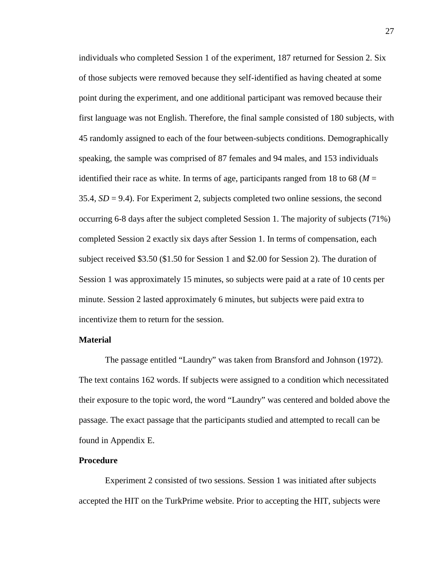Session 1 was approximately 15 minutes, so subjects were paid at a rate of 10 cents per minute. Session 2 lasted approximately 6 minutes, but subjects were paid extra to incentivize them to return for the session. individuals who completed Session 1 of the experiment, 187 returned for Session 2. Six of those subjects were removed because they self-identified as having cheated at some point during the experiment, and one additional participant was removed because their first language was not English. Therefore, the final sample consisted of 180 subjects, with 45 randomly assigned to each of the four between-subjects conditions. Demographically speaking, the sample was comprised of 87 females and 94 males, and 153 individuals identified their race as white. In terms of age, participants ranged from 18 to 68 ( $M =$ 35.4, *SD* = 9.4). For Experiment 2, subjects completed two online sessions, the second occurring 6-8 days after the subject completed Session 1. The majority of subjects (71%) completed Session 2 exactly six days after Session 1. In terms of compensation, each subject received \$3.50 (\$1.50 for Session 1 and \$2.00 for Session 2). The duration of

#### **Material**

 found in Appendix E. The passage entitled "Laundry" was taken from Bransford and Johnson (1972). The text contains 162 words. If subjects were assigned to a condition which necessitated their exposure to the topic word, the word "Laundry" was centered and bolded above the passage. The exact passage that the participants studied and attempted to recall can be

#### **Procedure**

Experiment 2 consisted of two sessions. Session 1 was initiated after subjects accepted the HIT on the TurkPrime website. Prior to accepting the HIT, subjects were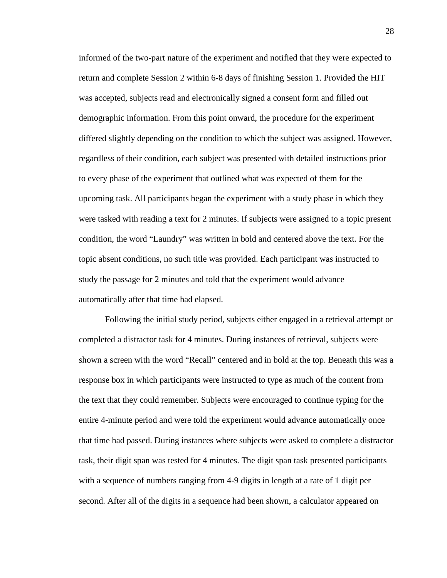informed of the two-part nature of the experiment and notified that they were expected to return and complete Session 2 within 6-8 days of finishing Session 1. Provided the HIT was accepted, subjects read and electronically signed a consent form and filled out demographic information. From this point onward, the procedure for the experiment differed slightly depending on the condition to which the subject was assigned. However, regardless of their condition, each subject was presented with detailed instructions prior to every phase of the experiment that outlined what was expected of them for the upcoming task. All participants began the experiment with a study phase in which they were tasked with reading a text for 2 minutes. If subjects were assigned to a topic present condition, the word "Laundry" was written in bold and centered above the text. For the topic absent conditions, no such title was provided. Each participant was instructed to study the passage for 2 minutes and told that the experiment would advance automatically after that time had elapsed.

 response box in which participants were instructed to type as much of the content from the text that they could remember. Subjects were encouraged to continue typing for the task, their digit span was tested for 4 minutes. The digit span task presented participants with a sequence of numbers ranging from 4-9 digits in length at a rate of 1 digit per Following the initial study period, subjects either engaged in a retrieval attempt or completed a distractor task for 4 minutes. During instances of retrieval, subjects were shown a screen with the word "Recall" centered and in bold at the top. Beneath this was a entire 4-minute period and were told the experiment would advance automatically once that time had passed. During instances where subjects were asked to complete a distractor second. After all of the digits in a sequence had been shown, a calculator appeared on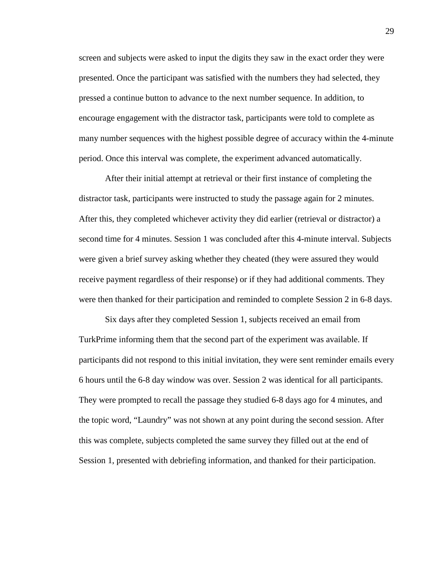screen and subjects were asked to input the digits they saw in the exact order they were presented. Once the participant was satisfied with the numbers they had selected, they pressed a continue button to advance to the next number sequence. In addition, to encourage engagement with the distractor task, participants were told to complete as many number sequences with the highest possible degree of accuracy within the 4-minute period. Once this interval was complete, the experiment advanced automatically.

 distractor task, participants were instructed to study the passage again for 2 minutes. second time for 4 minutes. Session 1 was concluded after this 4-minute interval. Subjects were given a brief survey asking whether they cheated (they were assured they would receive payment regardless of their response) or if they had additional comments. They After their initial attempt at retrieval or their first instance of completing the After this, they completed whichever activity they did earlier (retrieval or distractor) a were then thanked for their participation and reminded to complete Session 2 in 6-8 days.

Six days after they completed Session 1, subjects received an email from TurkPrime informing them that the second part of the experiment was available. If participants did not respond to this initial invitation, they were sent reminder emails every 6 hours until the 6-8 day window was over. Session 2 was identical for all participants. They were prompted to recall the passage they studied 6-8 days ago for 4 minutes, and the topic word, "Laundry" was not shown at any point during the second session. After this was complete, subjects completed the same survey they filled out at the end of Session 1, presented with debriefing information, and thanked for their participation.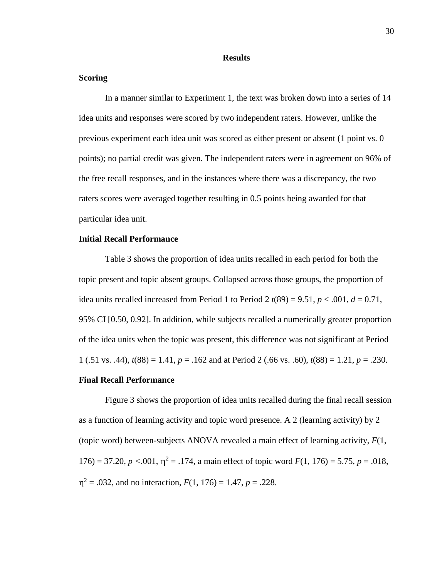#### **Results**

#### **Scoring**

 the free recall responses, and in the instances where there was a discrepancy, the two In a manner similar to Experiment 1, the text was broken down into a series of 14 idea units and responses were scored by two independent raters. However, unlike the previous experiment each idea unit was scored as either present or absent (1 point vs. 0 points); no partial credit was given. The independent raters were in agreement on 96% of raters scores were averaged together resulting in 0.5 points being awarded for that particular idea unit.

#### **Initial Recall Performance**

idea units recalled increased from Period 1 to Period 2  $t(89) = 9.51, p < .001, d = 0.71,$ Table 3 shows the proportion of idea units recalled in each period for both the topic present and topic absent groups. Collapsed across those groups, the proportion of 95% CI [0.50, 0.92]. In addition, while subjects recalled a numerically greater proportion of the idea units when the topic was present, this difference was not significant at Period 1 (.51 vs. .44), *t*(88) = 1.41, *p* = .162 and at Period 2 (.66 vs. .60), *t*(88) = 1.21, *p* = .230.

#### **Final Recall Performance**

 (topic word) between-subjects ANOVA revealed a main effect of learning activity, *F*(1, Figure 3 shows the proportion of idea units recalled during the final recall session as a function of learning activity and topic word presence. A 2 (learning activity) by 2 176) = 37.20,  $p < .001$ ,  $\eta^2 = .174$ , a main effect of topic word  $F(1, 176) = 5.75$ ,  $p = .018$ ,  $\eta^2$  = .032, and no interaction,  $F(1, 176) = 1.47$ ,  $p = .228$ .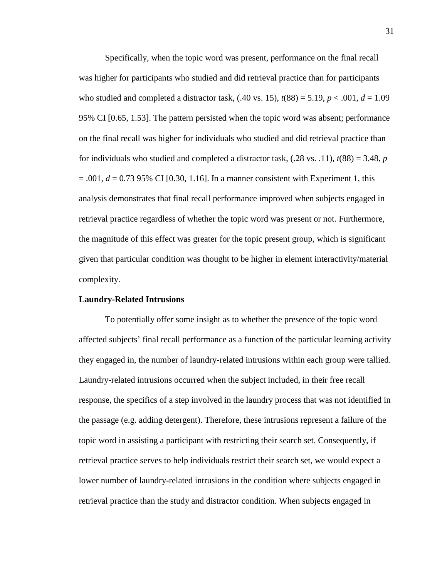on the final recall was higher for individuals who studied and did retrieval practice than  $= .001, d = 0.73$  95% CI [0.30, 1.16]. In a manner consistent with Experiment 1, this the magnitude of this effect was greater for the topic present group, which is significant given that particular condition was thought to be higher in element interactivity/material Specifically, when the topic word was present, performance on the final recall was higher for participants who studied and did retrieval practice than for participants who studied and completed a distractor task,  $(.40 \text{ vs. } 15)$ ,  $t(88) = 5.19$ ,  $p < .001$ ,  $d = 1.09$ 95% CI [0.65, 1.53]. The pattern persisted when the topic word was absent; performance for individuals who studied and completed a distractor task,  $(.28 \text{ vs. } .11)$ ,  $t(88) = 3.48$ , *p* analysis demonstrates that final recall performance improved when subjects engaged in retrieval practice regardless of whether the topic word was present or not. Furthermore, complexity.

#### **Laundry-Related Intrusions**

To potentially offer some insight as to whether the presence of the topic word affected subjects' final recall performance as a function of the particular learning activity they engaged in, the number of laundry-related intrusions within each group were tallied. Laundry-related intrusions occurred when the subject included, in their free recall response, the specifics of a step involved in the laundry process that was not identified in the passage (e.g. adding detergent). Therefore, these intrusions represent a failure of the topic word in assisting a participant with restricting their search set. Consequently, if retrieval practice serves to help individuals restrict their search set, we would expect a lower number of laundry-related intrusions in the condition where subjects engaged in retrieval practice than the study and distractor condition. When subjects engaged in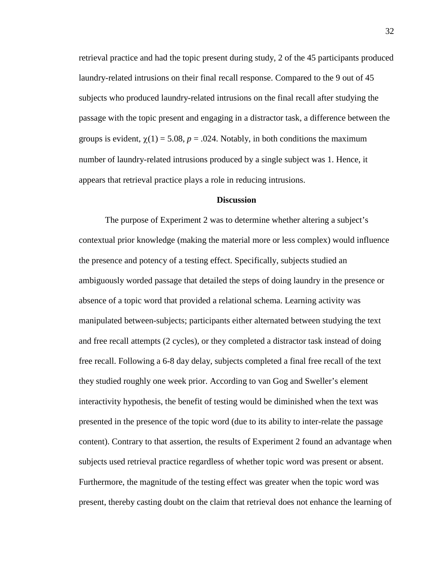retrieval practice and had the topic present during study, 2 of the 45 participants produced laundry-related intrusions on their final recall response. Compared to the 9 out of 45 subjects who produced laundry-related intrusions on the final recall after studying the passage with the topic present and engaging in a distractor task, a difference between the groups is evident,  $\chi(1) = 5.08$ ,  $p = .024$ . Notably, in both conditions the maximum number of laundry-related intrusions produced by a single subject was 1. Hence, it appears that retrieval practice plays a role in reducing intrusions.

#### **Discussion**

 The purpose of Experiment 2 was to determine whether altering a subject's absence of a topic word that provided a relational schema. Learning activity was manipulated between-subjects; participants either alternated between studying the text subjects used retrieval practice regardless of whether topic word was present or absent. Furthermore, the magnitude of the testing effect was greater when the topic word was contextual prior knowledge (making the material more or less complex) would influence the presence and potency of a testing effect. Specifically, subjects studied an ambiguously worded passage that detailed the steps of doing laundry in the presence or and free recall attempts (2 cycles), or they completed a distractor task instead of doing free recall. Following a 6-8 day delay, subjects completed a final free recall of the text they studied roughly one week prior. According to van Gog and Sweller's element interactivity hypothesis, the benefit of testing would be diminished when the text was presented in the presence of the topic word (due to its ability to inter-relate the passage content). Contrary to that assertion, the results of Experiment 2 found an advantage when present, thereby casting doubt on the claim that retrieval does not enhance the learning of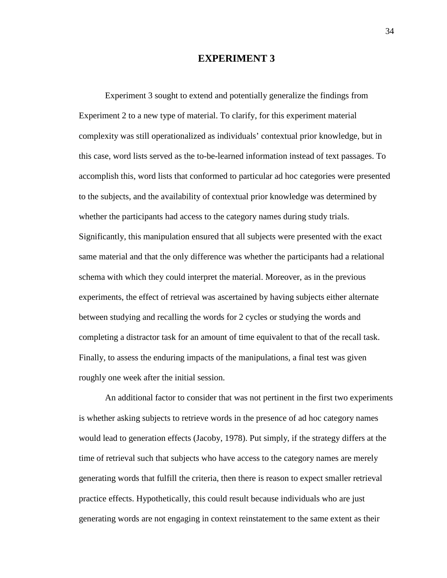### **EXPERIMENT 3**

 Experiment 3 sought to extend and potentially generalize the findings from this case, word lists served as the to-be-learned information instead of text passages. To accomplish this, word lists that conformed to particular ad hoc categories were presented whether the participants had access to the category names during study trials. between studying and recalling the words for 2 cycles or studying the words and Finally, to assess the enduring impacts of the manipulations, a final test was given Experiment 2 to a new type of material. To clarify, for this experiment material complexity was still operationalized as individuals' contextual prior knowledge, but in to the subjects, and the availability of contextual prior knowledge was determined by Significantly, this manipulation ensured that all subjects were presented with the exact same material and that the only difference was whether the participants had a relational schema with which they could interpret the material. Moreover, as in the previous experiments, the effect of retrieval was ascertained by having subjects either alternate completing a distractor task for an amount of time equivalent to that of the recall task. roughly one week after the initial session.

 time of retrieval such that subjects who have access to the category names are merely An additional factor to consider that was not pertinent in the first two experiments is whether asking subjects to retrieve words in the presence of ad hoc category names would lead to generation effects (Jacoby, 1978). Put simply, if the strategy differs at the generating words that fulfill the criteria, then there is reason to expect smaller retrieval practice effects. Hypothetically, this could result because individuals who are just generating words are not engaging in context reinstatement to the same extent as their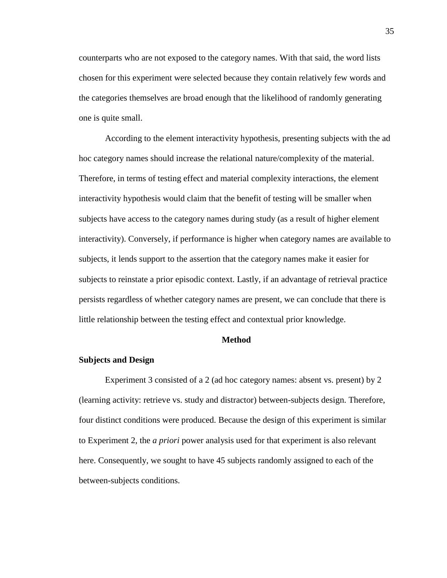chosen for this experiment were selected because they contain relatively few words and the categories themselves are broad enough that the likelihood of randomly generating one is quite small. counterparts who are not exposed to the category names. With that said, the word lists

 subjects to reinstate a prior episodic context. Lastly, if an advantage of retrieval practice According to the element interactivity hypothesis, presenting subjects with the ad hoc category names should increase the relational nature/complexity of the material. Therefore, in terms of testing effect and material complexity interactions, the element interactivity hypothesis would claim that the benefit of testing will be smaller when subjects have access to the category names during study (as a result of higher element interactivity). Conversely, if performance is higher when category names are available to subjects, it lends support to the assertion that the category names make it easier for persists regardless of whether category names are present, we can conclude that there is little relationship between the testing effect and contextual prior knowledge.

#### **Method**

#### **Subjects and Design**

 to Experiment 2, the *a priori* power analysis used for that experiment is also relevant Experiment 3 consisted of a 2 (ad hoc category names: absent vs. present) by 2 (learning activity: retrieve vs. study and distractor) between-subjects design. Therefore, four distinct conditions were produced. Because the design of this experiment is similar here. Consequently, we sought to have 45 subjects randomly assigned to each of the between-subjects conditions.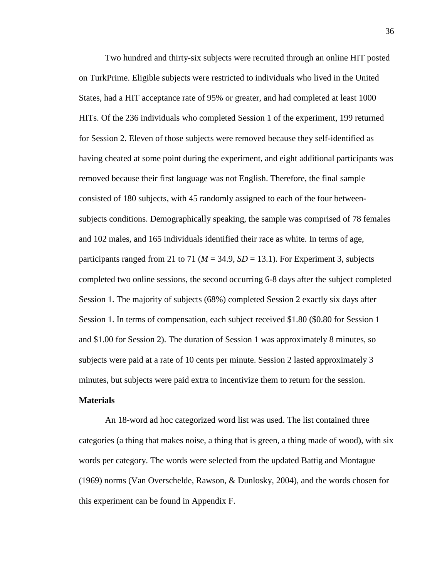Two hundred and thirty-six subjects were recruited through an online HIT posted subjects conditions. Demographically speaking, the sample was comprised of 78 females participants ranged from 21 to 71 ( $M = 34.9$ ,  $SD = 13.1$ ). For Experiment 3, subjects Session 1. The majority of subjects (68%) completed Session 2 exactly six days after subjects were paid at a rate of 10 cents per minute. Session 2 lasted approximately 3 on TurkPrime. Eligible subjects were restricted to individuals who lived in the United States, had a HIT acceptance rate of 95% or greater, and had completed at least 1000 HITs. Of the 236 individuals who completed Session 1 of the experiment, 199 returned for Session 2. Eleven of those subjects were removed because they self-identified as having cheated at some point during the experiment, and eight additional participants was removed because their first language was not English. Therefore, the final sample consisted of 180 subjects, with 45 randomly assigned to each of the four betweenand 102 males, and 165 individuals identified their race as white. In terms of age, completed two online sessions, the second occurring 6-8 days after the subject completed Session 1. In terms of compensation, each subject received \$1.80 (\$0.80 for Session 1 and \$1.00 for Session 2). The duration of Session 1 was approximately 8 minutes, so minutes, but subjects were paid extra to incentivize them to return for the session.

## **Materials**

 An 18-word ad hoc categorized word list was used. The list contained three words per category. The words were selected from the updated Battig and Montague this experiment can be found in Appendix F. categories (a thing that makes noise, a thing that is green, a thing made of wood), with six (1969) norms (Van Overschelde, Rawson, & Dunlosky, 2004), and the words chosen for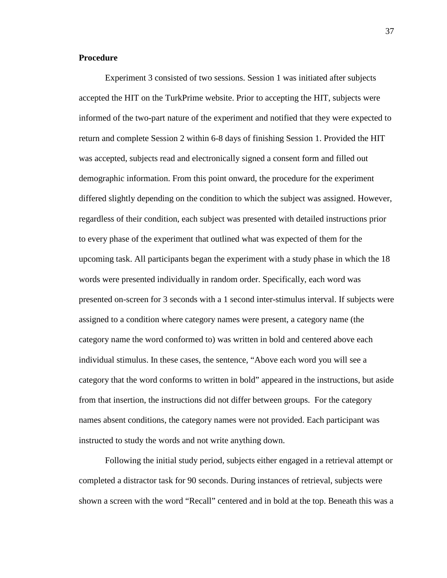#### **Procedure**

 return and complete Session 2 within 6-8 days of finishing Session 1. Provided the HIT individual stimulus. In these cases, the sentence, "Above each word you will see a Experiment 3 consisted of two sessions. Session 1 was initiated after subjects accepted the HIT on the TurkPrime website. Prior to accepting the HIT, subjects were informed of the two-part nature of the experiment and notified that they were expected to was accepted, subjects read and electronically signed a consent form and filled out demographic information. From this point onward, the procedure for the experiment differed slightly depending on the condition to which the subject was assigned. However, regardless of their condition, each subject was presented with detailed instructions prior to every phase of the experiment that outlined what was expected of them for the upcoming task. All participants began the experiment with a study phase in which the 18 words were presented individually in random order. Specifically, each word was presented on-screen for 3 seconds with a 1 second inter-stimulus interval. If subjects were assigned to a condition where category names were present, a category name (the category name the word conformed to) was written in bold and centered above each category that the word conforms to written in bold" appeared in the instructions, but aside from that insertion, the instructions did not differ between groups. For the category names absent conditions, the category names were not provided. Each participant was instructed to study the words and not write anything down.

Following the initial study period, subjects either engaged in a retrieval attempt or completed a distractor task for 90 seconds. During instances of retrieval, subjects were shown a screen with the word "Recall" centered and in bold at the top. Beneath this was a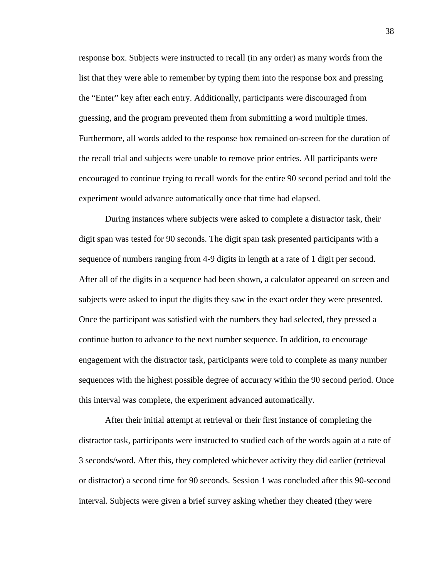Furthermore, all words added to the response box remained on-screen for the duration of encouraged to continue trying to recall words for the entire 90 second period and told the response box. Subjects were instructed to recall (in any order) as many words from the list that they were able to remember by typing them into the response box and pressing the "Enter" key after each entry. Additionally, participants were discouraged from guessing, and the program prevented them from submitting a word multiple times. the recall trial and subjects were unable to remove prior entries. All participants were experiment would advance automatically once that time had elapsed.

 engagement with the distractor task, participants were told to complete as many number sequences with the highest possible degree of accuracy within the 90 second period. Once During instances where subjects were asked to complete a distractor task, their digit span was tested for 90 seconds. The digit span task presented participants with a sequence of numbers ranging from 4-9 digits in length at a rate of 1 digit per second. After all of the digits in a sequence had been shown, a calculator appeared on screen and subjects were asked to input the digits they saw in the exact order they were presented. Once the participant was satisfied with the numbers they had selected, they pressed a continue button to advance to the next number sequence. In addition, to encourage this interval was complete, the experiment advanced automatically.

 or distractor) a second time for 90 seconds. Session 1 was concluded after this 90-second interval. Subjects were given a brief survey asking whether they cheated (they were After their initial attempt at retrieval or their first instance of completing the distractor task, participants were instructed to studied each of the words again at a rate of 3 seconds/word. After this, they completed whichever activity they did earlier (retrieval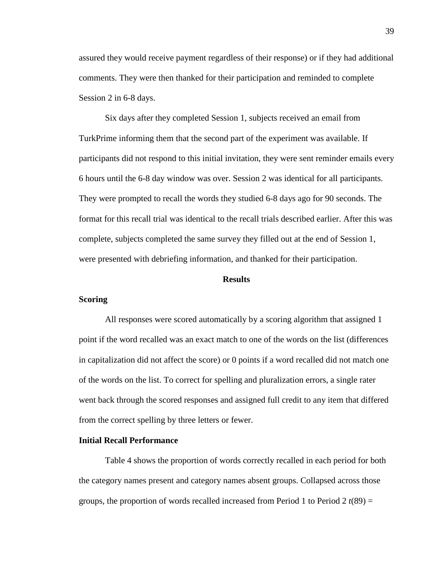assured they would receive payment regardless of their response) or if they had additional comments. They were then thanked for their participation and reminded to complete Session 2 in 6-8 days.

 TurkPrime informing them that the second part of the experiment was available. If complete, subjects completed the same survey they filled out at the end of Session 1, Six days after they completed Session 1, subjects received an email from participants did not respond to this initial invitation, they were sent reminder emails every 6 hours until the 6-8 day window was over. Session 2 was identical for all participants. They were prompted to recall the words they studied 6-8 days ago for 90 seconds. The format for this recall trial was identical to the recall trials described earlier. After this was were presented with debriefing information, and thanked for their participation.

#### **Results**

#### **Scoring**

All responses were scored automatically by a scoring algorithm that assigned 1 point if the word recalled was an exact match to one of the words on the list (differences in capitalization did not affect the score) or 0 points if a word recalled did not match one of the words on the list. To correct for spelling and pluralization errors, a single rater went back through the scored responses and assigned full credit to any item that differed from the correct spelling by three letters or fewer.

#### **Initial Recall Performance**

Table 4 shows the proportion of words correctly recalled in each period for both the category names present and category names absent groups. Collapsed across those groups, the proportion of words recalled increased from Period 1 to Period 2 *t*(89) =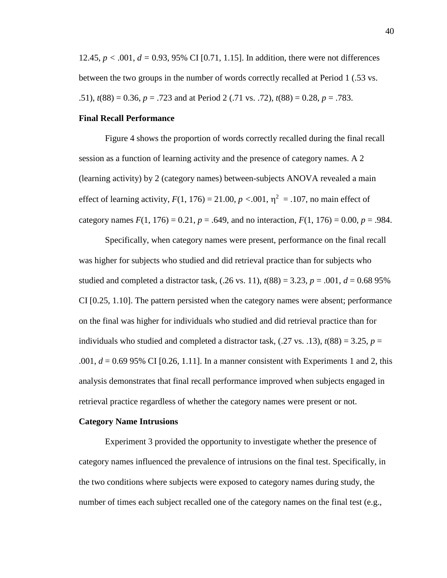12.45, *p <* .001, *d =* 0.93, 95% CI [0.71, 1.15]. In addition, there were not differences .51), *t*(88) = 0.36, *p* = .723 and at Period 2 (.71 vs. .72), *t*(88) = 0.28, *p* = .783. between the two groups in the number of words correctly recalled at Period 1 (.53 vs.

#### **Final Recall Performance**

effect of learning activity,  $F(1, 176) = 21.00$ ,  $p < .001$ ,  $\eta^2 = .107$ , no main effect of category names  $F(1, 176) = 0.21$ ,  $p = .649$ , and no interaction,  $F(1, 176) = 0.00$ ,  $p = .984$ . Figure 4 shows the proportion of words correctly recalled during the final recall session as a function of learning activity and the presence of category names. A 2 (learning activity) by 2 (category names) between-subjects ANOVA revealed a main

 Specifically, when category names were present, performance on the final recall .001,  $d = 0.69$  95% CI [0.26, 1.11]. In a manner consistent with Experiments 1 and 2, this retrieval practice regardless of whether the category names were present or not. was higher for subjects who studied and did retrieval practice than for subjects who studied and completed a distractor task,  $(.26 \text{ vs. } 11)$ ,  $t(88) = 3.23$ ,  $p = .001$ ,  $d = 0.6895\%$ CI [0.25, 1.10]. The pattern persisted when the category names were absent; performance on the final was higher for individuals who studied and did retrieval practice than for individuals who studied and completed a distractor task,  $(.27 \text{ vs. } .13)$ ,  $t(88) = 3.25$ ,  $p =$ analysis demonstrates that final recall performance improved when subjects engaged in

#### **Category Name Intrusions**

Experiment 3 provided the opportunity to investigate whether the presence of category names influenced the prevalence of intrusions on the final test. Specifically, in the two conditions where subjects were exposed to category names during study, the number of times each subject recalled one of the category names on the final test (e.g.,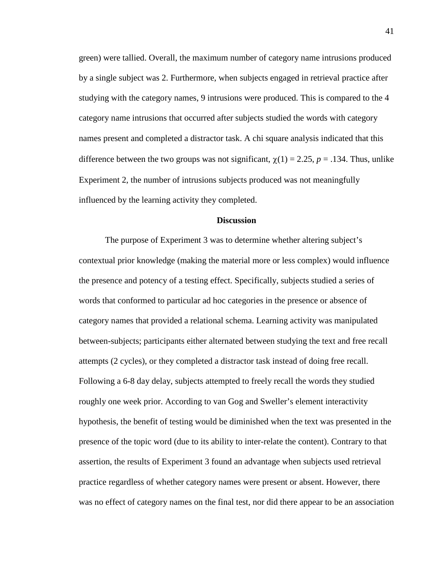influenced by the learning activity they completed. green) were tallied. Overall, the maximum number of category name intrusions produced by a single subject was 2. Furthermore, when subjects engaged in retrieval practice after studying with the category names, 9 intrusions were produced. This is compared to the 4 category name intrusions that occurred after subjects studied the words with category names present and completed a distractor task. A chi square analysis indicated that this difference between the two groups was not significant,  $\chi(1) = 2.25$ ,  $p = .134$ . Thus, unlike Experiment 2, the number of intrusions subjects produced was not meaningfully

#### **Discussion**

 words that conformed to particular ad hoc categories in the presence or absence of attempts (2 cycles), or they completed a distractor task instead of doing free recall. The purpose of Experiment 3 was to determine whether altering subject's contextual prior knowledge (making the material more or less complex) would influence the presence and potency of a testing effect. Specifically, subjects studied a series of category names that provided a relational schema. Learning activity was manipulated between-subjects; participants either alternated between studying the text and free recall Following a 6-8 day delay, subjects attempted to freely recall the words they studied roughly one week prior. According to van Gog and Sweller's element interactivity hypothesis, the benefit of testing would be diminished when the text was presented in the presence of the topic word (due to its ability to inter-relate the content). Contrary to that assertion, the results of Experiment 3 found an advantage when subjects used retrieval practice regardless of whether category names were present or absent. However, there was no effect of category names on the final test, nor did there appear to be an association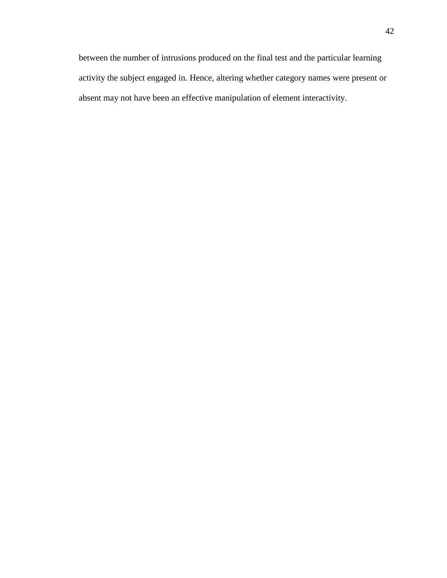absent may not have been an effective manipulation of element interactivity. between the number of intrusions produced on the final test and the particular learning activity the subject engaged in. Hence, altering whether category names were present or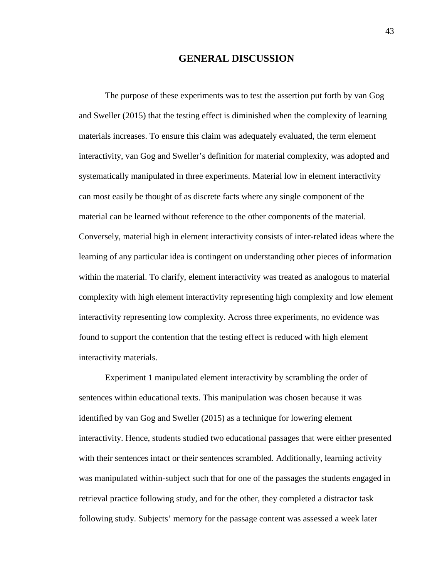## **GENERAL DISCUSSION**

 and Sweller (2015) that the testing effect is diminished when the complexity of learning The purpose of these experiments was to test the assertion put forth by van Gog materials increases. To ensure this claim was adequately evaluated, the term element interactivity, van Gog and Sweller's definition for material complexity, was adopted and systematically manipulated in three experiments. Material low in element interactivity can most easily be thought of as discrete facts where any single component of the material can be learned without reference to the other components of the material. Conversely, material high in element interactivity consists of inter-related ideas where the learning of any particular idea is contingent on understanding other pieces of information within the material. To clarify, element interactivity was treated as analogous to material complexity with high element interactivity representing high complexity and low element interactivity representing low complexity. Across three experiments, no evidence was found to support the contention that the testing effect is reduced with high element interactivity materials.

 sentences within educational texts. This manipulation was chosen because it was identified by van Gog and Sweller (2015) as a technique for lowering element interactivity. Hence, students studied two educational passages that were either presented Experiment 1 manipulated element interactivity by scrambling the order of with their sentences intact or their sentences scrambled. Additionally, learning activity was manipulated within-subject such that for one of the passages the students engaged in retrieval practice following study, and for the other, they completed a distractor task following study. Subjects' memory for the passage content was assessed a week later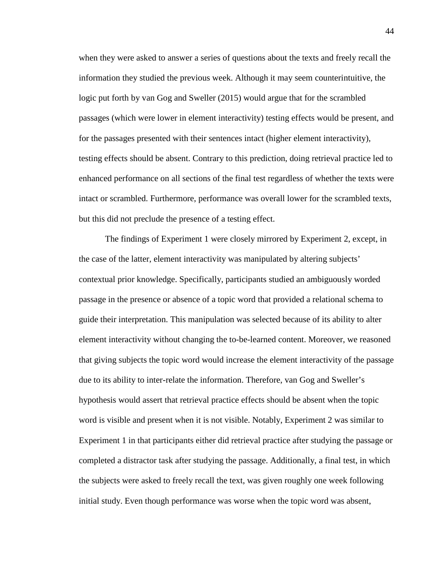when they were asked to answer a series of questions about the texts and freely recall the passages (which were lower in element interactivity) testing effects would be present, and but this did not preclude the presence of a testing effect. information they studied the previous week. Although it may seem counterintuitive, the logic put forth by van Gog and Sweller (2015) would argue that for the scrambled for the passages presented with their sentences intact (higher element interactivity), testing effects should be absent. Contrary to this prediction, doing retrieval practice led to enhanced performance on all sections of the final test regardless of whether the texts were intact or scrambled. Furthermore, performance was overall lower for the scrambled texts,

 passage in the presence or absence of a topic word that provided a relational schema to guide their interpretation. This manipulation was selected because of its ability to alter The findings of Experiment 1 were closely mirrored by Experiment 2, except, in the case of the latter, element interactivity was manipulated by altering subjects' contextual prior knowledge. Specifically, participants studied an ambiguously worded element interactivity without changing the to-be-learned content. Moreover, we reasoned that giving subjects the topic word would increase the element interactivity of the passage due to its ability to inter-relate the information. Therefore, van Gog and Sweller's hypothesis would assert that retrieval practice effects should be absent when the topic word is visible and present when it is not visible. Notably, Experiment 2 was similar to Experiment 1 in that participants either did retrieval practice after studying the passage or completed a distractor task after studying the passage. Additionally, a final test, in which the subjects were asked to freely recall the text, was given roughly one week following initial study. Even though performance was worse when the topic word was absent,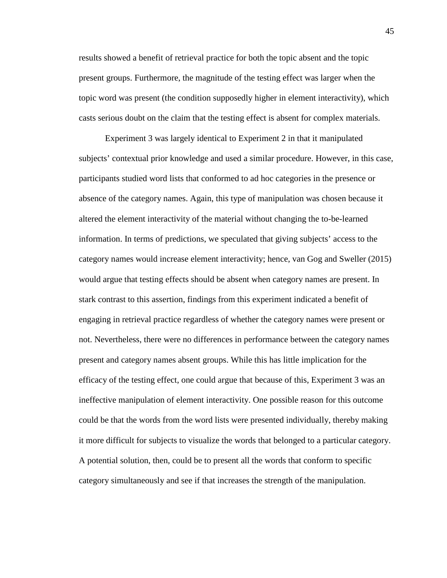topic word was present (the condition supposedly higher in element interactivity), which results showed a benefit of retrieval practice for both the topic absent and the topic present groups. Furthermore, the magnitude of the testing effect was larger when the casts serious doubt on the claim that the testing effect is absent for complex materials.

 subjects' contextual prior knowledge and used a similar procedure. However, in this case, information. In terms of predictions, we speculated that giving subjects' access to the category names would increase element interactivity; hence, van Gog and Sweller (2015) would argue that testing effects should be absent when category names are present. In Experiment 3 was largely identical to Experiment 2 in that it manipulated participants studied word lists that conformed to ad hoc categories in the presence or absence of the category names. Again, this type of manipulation was chosen because it altered the element interactivity of the material without changing the to-be-learned stark contrast to this assertion, findings from this experiment indicated a benefit of engaging in retrieval practice regardless of whether the category names were present or not. Nevertheless, there were no differences in performance between the category names present and category names absent groups. While this has little implication for the efficacy of the testing effect, one could argue that because of this, Experiment 3 was an ineffective manipulation of element interactivity. One possible reason for this outcome could be that the words from the word lists were presented individually, thereby making it more difficult for subjects to visualize the words that belonged to a particular category. A potential solution, then, could be to present all the words that conform to specific category simultaneously and see if that increases the strength of the manipulation.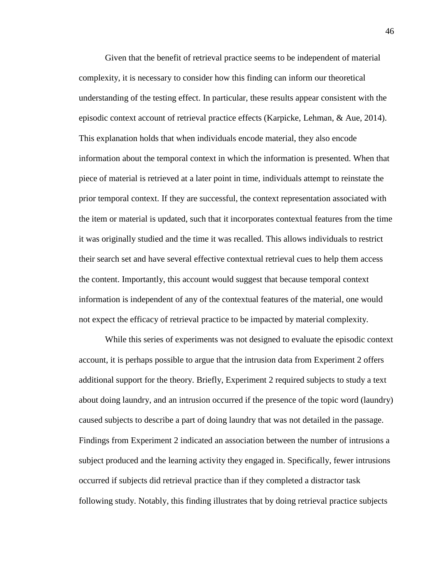This explanation holds that when individuals encode material, they also encode prior temporal context. If they are successful, the context representation associated with their search set and have several effective contextual retrieval cues to help them access the content. Importantly, this account would suggest that because temporal context Given that the benefit of retrieval practice seems to be independent of material complexity, it is necessary to consider how this finding can inform our theoretical understanding of the testing effect. In particular, these results appear consistent with the episodic context account of retrieval practice effects (Karpicke, Lehman, & Aue, 2014). information about the temporal context in which the information is presented. When that piece of material is retrieved at a later point in time, individuals attempt to reinstate the the item or material is updated, such that it incorporates contextual features from the time it was originally studied and the time it was recalled. This allows individuals to restrict information is independent of any of the contextual features of the material, one would not expect the efficacy of retrieval practice to be impacted by material complexity.

 While this series of experiments was not designed to evaluate the episodic context caused subjects to describe a part of doing laundry that was not detailed in the passage. account, it is perhaps possible to argue that the intrusion data from Experiment 2 offers additional support for the theory. Briefly, Experiment 2 required subjects to study a text about doing laundry, and an intrusion occurred if the presence of the topic word (laundry) Findings from Experiment 2 indicated an association between the number of intrusions a subject produced and the learning activity they engaged in. Specifically, fewer intrusions occurred if subjects did retrieval practice than if they completed a distractor task following study. Notably, this finding illustrates that by doing retrieval practice subjects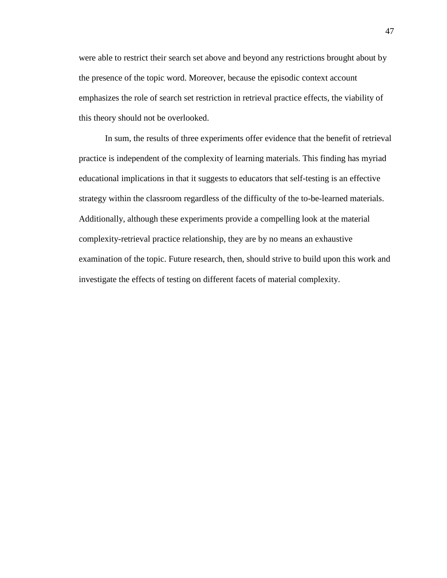this theory should not be overlooked. were able to restrict their search set above and beyond any restrictions brought about by the presence of the topic word. Moreover, because the episodic context account emphasizes the role of search set restriction in retrieval practice effects, the viability of

 examination of the topic. Future research, then, should strive to build upon this work and investigate the effects of testing on different facets of material complexity. In sum, the results of three experiments offer evidence that the benefit of retrieval practice is independent of the complexity of learning materials. This finding has myriad educational implications in that it suggests to educators that self-testing is an effective strategy within the classroom regardless of the difficulty of the to-be-learned materials. Additionally, although these experiments provide a compelling look at the material complexity-retrieval practice relationship, they are by no means an exhaustive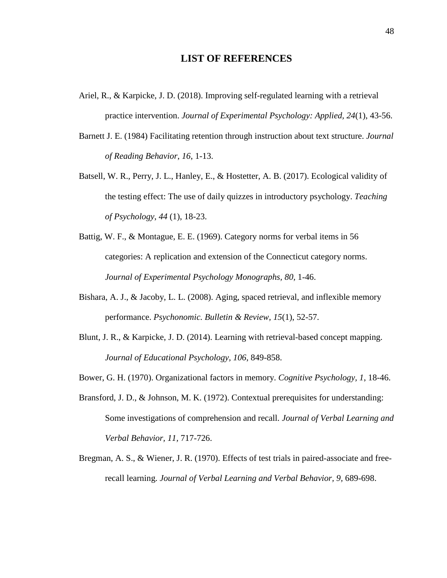## **LIST OF REFERENCES**

- practice intervention. *Journal of Experimental Psychology: Applied, 24*(1), 43-56. Ariel, R., & Karpicke, J. D. (2018). Improving self-regulated learning with a retrieval
- Barnett J. E. (1984) Facilitating retention through instruction about text structure. *Journal of Reading Behavior*, *16*, 1-13.
- Batsell, W. R., Perry, J. L., Hanley, E., & Hostetter, A. B. (2017). Ecological validity of *of Psychology*, *44* (1), 18-23. the testing effect: The use of daily quizzes in introductory psychology. *Teaching*
- categories: A replication and extension of the Connecticut category norms. Battig, W. F., & Montague, E. E. (1969). Category norms for verbal items in 56 *Journal of Experimental Psychology Monographs, 80,* 1‐46.
- Bishara, A. J., & Jacoby, L. L. (2008). Aging, spaced retrieval, and inflexible memory  performance. *Psychonomic. Bulletin & Review, 15*(1), 52-57.
- *Journal of Educational Psychology, 106*, 849-858. Blunt, J. R., & Karpicke, J. D. (2014). Learning with retrieval-based concept mapping.
- Bower, G. H. (1970). Organizational factors in memory. *Cognitive Psychology, 1*, 18-46.
- Bransford, J. D., & Johnson, M. K. (1972). Contextual prerequisites for understanding: Some investigations of comprehension and recall. *Journal of Verbal Learning and Verbal Behavior, 11,* 717‐726.
- Bregman, A. S., & Wiener, J. R. (1970). Effects of test trials in paired-associate and freerecall learning. *Journal of Verbal Learning and Verbal Behavior, 9,* 689‐698.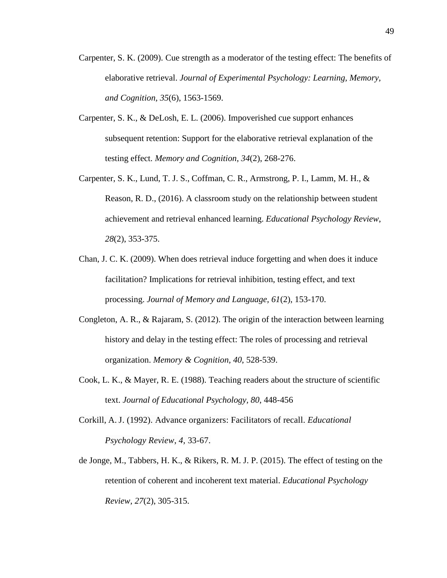- Carpenter, S. K. (2009). Cue strength as a moderator of the testing effect: The benefits of elaborative retrieval. *Journal of Experimental Psychology: Learning, Memory, and Cognition, 35*(6), 1563-1569.
- subsequent retention: Support for the elaborative retrieval explanation of the Carpenter, S. K., & DeLosh, E. L. (2006). Impoverished cue support enhances testing effect. *Memory and Cognition*, *34*(2), 268-276.
- Carpenter, S. K., Lund, T. J. S., Coffman, C. R., Armstrong, P. I., Lamm, M. H., &  achievement and retrieval enhanced learning. *Educational Psychology Review*, Reason, R. D., (2016). A classroom study on the relationship between student *28*(2), 353-375.
- Chan, J. C. K. (2009). When does retrieval induce forgetting and when does it induce facilitation? Implications for retrieval inhibition, testing effect, and text processing. *Journal of Memory and Language, 61*(2), 153-170.
- history and delay in the testing effect: The roles of processing and retrieval Congleton, A. R., & Rajaram, S. (2012). The origin of the interaction between learning organization. *Memory & Cognition, 40*, 528-539.
- Cook, L. K., & Mayer, R. E. (1988). Teaching readers about the structure of scientific text. *Journal of Educational Psychology, 80*, 448-456
- Corkill, A. J. (1992). Advance organizers: Facilitators of recall. *Educational Psychology Review*, *4,* 33-67.
- de Jonge, M., Tabbers, H. K., & Rikers, R. M. J. P. (2015). The effect of testing on the retention of coherent and incoherent text material. *Educational Psychology Review, 27*(2), 305-315.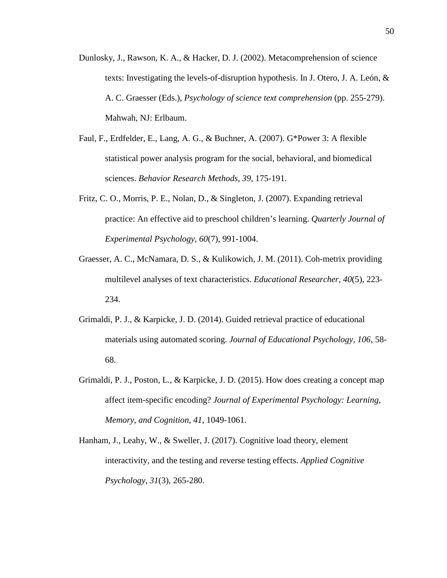- Dunlosky, J., Rawson, K. A., & Hacker, D. J. (2002). Metacomprehension of science texts: Investigating the levels-of-disruption hypothesis. In J. Otero, J. A. León, & A. C. Graesser (Eds.), *Psychology of science text comprehension* (pp. 255-279). Mahwah, NJ: Erlbaum.
- Faul, F., Erdfelder, E., Lang, A. G., & Buchner, A. (2007). G\*Power 3: A flexible statistical power analysis program for the social, behavioral, and biomedical sciences. *Behavior Research Methods*, *39*, 175-191.
- practice: An effective aid to preschool children's learning. *Quarterly Journal of*  Fritz, C. O., Morris, P. E., Nolan, D., & Singleton, J. (2007). Expanding retrieval *Experimental Psychology, 60*(7), 991-1004.
- Graesser, A. C., McNamara, D. S., & Kulikowich, J. M. (2011). Coh-metrix providing multilevel analyses of text characteristics. *Educational Researcher*, *40*(5), 223- 234.
- materials using automated scoring. *Journal of Educational Psychology, 106*, 58- Grimaldi, P. J., & Karpicke, J. D. (2014). Guided retrieval practice of educational 68.
- affect item-specific encoding? *Journal of Experimental Psychology: Learning, Memory, and Cognition, 41*, 1049-1061. Grimaldi, P. J., Poston, L., & Karpicke, J. D. (2015). How does creating a concept map
- Hanham, J., Leahy, W., & Sweller, J. (2017). Cognitive load theory, element interactivity, and the testing and reverse testing effects. *Applied Cognitive Psychology*, *31*(3), 265-280.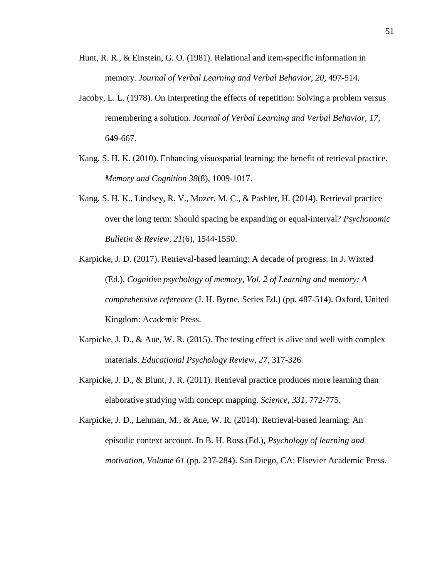- Hunt, R. R., & Einstein, G. O. (1981). Relational and item-specific information in memory. *Journal of Verbal Learning and Verbal Behavior, 20, 497-514.*
- Jacoby, L. L. (1978). On interpreting the effects of repetition: Solving a problem versus remembering a solution. *Journal of Verbal Learning and Verbal Behavior*, *17*, 649-667.
- Kang, S. H. K. (2010). Enhancing visuospatial learning: the benefit of retrieval practice. *Memory and Cognition 38*(8), 1009-1017.
- Kang, S. H. K., Lindsey, R. V., Mozer, M. C., & Pashler, H. (2014). Retrieval practice over the long term: Should spacing be expanding or equal-interval? *Psychonomic Bulletin & Review*, *21*(6), 1544-1550.
- (Ed.), *Cognitive psychology of memory, Vol. 2 of Learning and memory: A*  Karpicke, J. D. (2017). Retrieval-based learning: A decade of progress. In J. Wixted *comprehensive reference* (J. H. Byrne, Series Ed.) (pp. 487-514). Oxford, United Kingdom: Academic Press.
- Karpicke, J. D., & Aue, W. R. (2015). The testing effect is alive and well with complex materials. *Educational Psychology Review, 27*, 317-326.
- elaborative studying with concept mapping. Science, 331, 772-775. Karpicke, J. D., & Blunt, J. R. (2011). Retrieval practice produces more learning than
- episodic context account. In B. H. Ross (Ed.), *Psychology of learning and motivation, Volume 61* (pp. 237-284). San Diego, CA: Elsevier Academic Press. Karpicke, J. D., Lehman, M., & Aue, W. R. (2014). Retrieval-based learning: An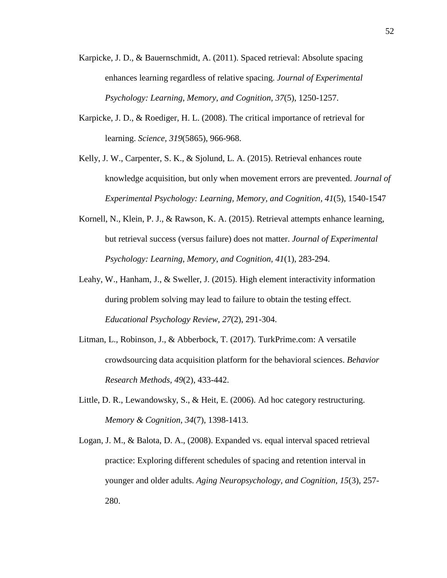- Karpicke, J. D., & Bauernschmidt, A. (2011). Spaced retrieval: Absolute spacing enhances learning regardless of relative spacing. *Journal of Experimental Psychology: Learning, Memory, and Cognition, 37*(5), 1250-1257.
- Karpicke, J. D., & Roediger, H. L. (2008). The critical importance of retrieval for learning. *Science, 319*(5865), 966-968.
- Kelly, J. W., Carpenter, S. K., & Sjolund, L. A. (2015). Retrieval enhances route knowledge acquisition, but only when movement errors are prevented. *Journal of Experimental Psychology: Learning, Memory, and Cognition, 41*(5), 1540-1547
- Kornell, N., Klein, P. J., & Rawson, K. A. (2015). Retrieval attempts enhance learning, but retrieval success (versus failure) does not matter. *Journal of Experimental Psychology: Learning, Memory, and Cognition, 41*(1), 283-294.
- Leahy, W., Hanham, J., & Sweller, J. (2015). High element interactivity information during problem solving may lead to failure to obtain the testing effect. *Educational Psychology Review*, *27*(2), 291-304.
- Litman, L., Robinson, J., & Abberbock, T. (2017). [TurkPrime.com](https://TurkPrime.com): A versatile crowdsourcing data acquisition platform for the behavioral sciences. *Behavior Research Methods, 49*(2), 433-442.
- Little, D. R., Lewandowsky, S., & Heit, E. (2006). Ad hoc category restructuring. *Memory & Cognition*, *34*(7), 1398-1413.
- Logan, J. M., & Balota, D. A., (2008). Expanded vs. equal interval spaced retrieval practice: Exploring different schedules of spacing and retention interval in younger and older adults. *Aging Neuropsychology, and Cognition, 15*(3), 257- 280.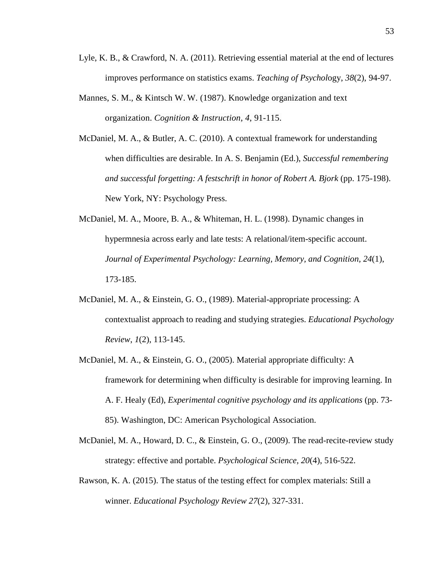- Lyle, K. B., & Crawford, N. A. (2011). Retrieving essential material at the end of lectures improves performance on statistics exams. *Teaching of Psychol*ogy, *38*(2), 94-97.
- organization. *Cognition & Instruction*, *4*, 91-115. Mannes, S. M., & Kintsch W. W. (1987). Knowledge organization and text
- McDaniel, M. A., & Butler, A. C. (2010). A contextual framework for understanding when difficulties are desirable. In A. S. Benjamin (Ed.), *Successful remembering and successful forgetting: A festschrift in honor of Robert A. Bjork (pp. 175-198).* New York, NY: Psychology Press.
- McDaniel, M. A., Moore, B. A., & Whiteman, H. L. (1998). Dynamic changes in hypermnesia across early and late tests: A relational/item-specific account. *Journal of Experimental Psychology: Learning, Memory, and Cognition, 24*(1), 173-185.
- McDaniel, M. A., & Einstein, G. O., (1989). Material-appropriate processing: A contextualist approach to reading and studying strategies. *Educational Psychology Review*, *1*(2), 113-145.
- McDaniel, M. A., & Einstein, G. O., (2005). Material appropriate difficulty: A framework for determining when difficulty is desirable for improving learning. In A. F. Healy (Ed), *Experimental cognitive psychology and its applications* (pp. 73- 85). Washington, DC: American Psychological Association.
- McDaniel, M. A., Howard, D. C., & Einstein, G. O., (2009). The read-recite-review study strategy: effective and portable. *Psychological Science, 20*(4), 516-522.
- Rawson, K. A. (2015). The status of the testing effect for complex materials: Still a winner. *Educational Psychology Review 27*(2), 327-331.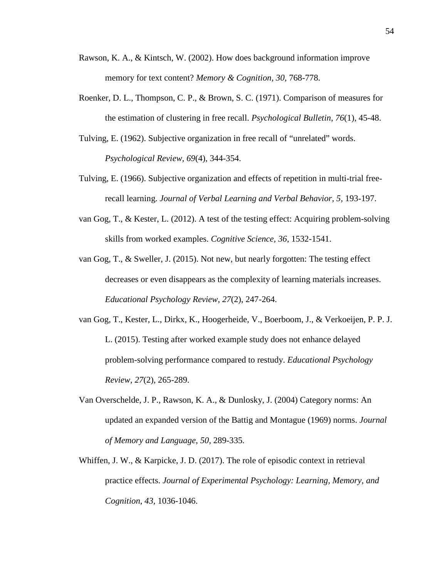- memory for text content? *Memory & Cognition, 30,* 768-778. Rawson, K. A., & Kintsch, W. (2002). How does background information improve
- Roenker, D. L., Thompson, C. P., & Brown, S. C. (1971). Comparison of measures for the estimation of clustering in free recall. *Psychological Bulletin*, *76*(1), 45-48.
- Tulving, E. (1962). Subjective organization in free recall of "unrelated" words. *Psychological Review, 69*(4), 344‐354.
- Tulving, E. (1966). Subjective organization and effects of repetition in multi-trial freerecall learning. *Journal of Verbal Learning and Verbal Behavior, 5,* 193‐197.
- van Gog, T., & Kester, L. (2012). A test of the testing effect: Acquiring problem-solving skills from worked examples. *Cognitive Science, 36*, 1532-1541.
- van Gog, T., & Sweller, J. (2015). Not new, but nearly forgotten: The testing effect decreases or even disappears as the complexity of learning materials increases. *Educational Psychology Review*, *27*(2), 247-264.
- van Gog, T., Kester, L., Dirkx, K., Hoogerheide, V., Boerboom, J., & Verkoeijen, P. P. J. L. (2015). Testing after worked example study does not enhance delayed problem-solving performance compared to restudy. *Educational Psychology Review*, *27*(2), 265-289.
- Van Overschelde, J. P., Rawson, K. A., & Dunlosky, J. (2004) Category norms: An updated an expanded version of the Battig and Montague (1969) norms. *Journal of Memory and Language*, *50*, 289‐335*.*
- practice effects. *Journal of Experimental Psychology: Learning, Memory, and Cognition*, *43,* 1036-1046. Whiffen, J. W., & Karpicke, J. D. (2017). The role of episodic context in retrieval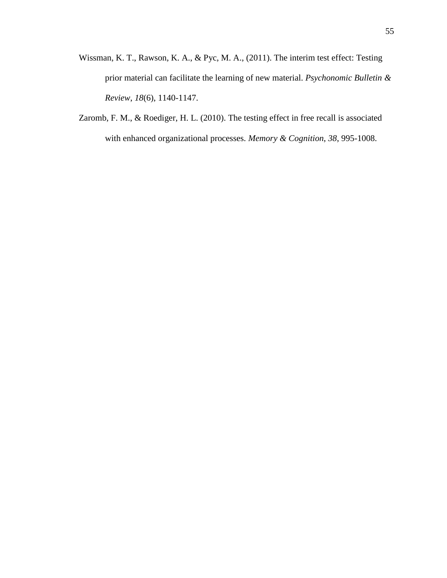- Wissman, K. T., Rawson, K. A., & Pyc, M. A., (2011). The interim test effect: Testing prior material can facilitate the learning of new material. *Psychonomic Bulletin & Review*, *18*(6), 1140-1147.
- Zaromb, F. M., & Roediger, H. L. (2010). The testing effect in free recall is associated with enhanced organizational processes. *Memory & Cognition*, *38*, 995-1008.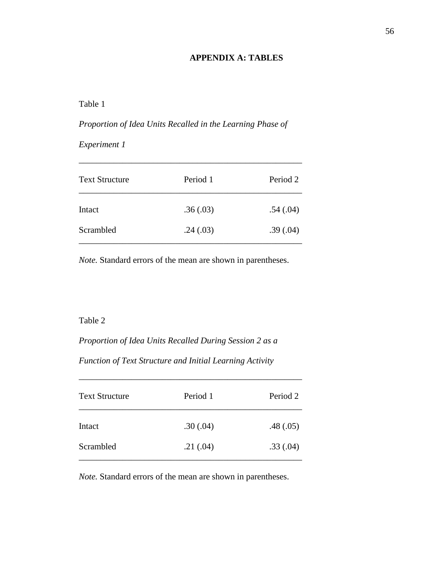## **APPENDIX A: TABLES**

## Table 1

# *Proportion of Idea Units Recalled in the Learning Phase of Experiment <sup>1</sup>*

| <b>Text Structure</b> | Period 1 | Period 2 |
|-----------------------|----------|----------|
| Intact                | .36(.03) | .54(.04) |
| Scrambled             | .24(.03) | .39(.04) |

\_\_\_\_\_\_\_\_\_\_\_\_\_\_\_\_\_\_\_\_\_\_\_\_\_\_\_\_\_\_\_\_\_\_\_\_\_\_\_\_\_\_\_\_\_\_\_\_\_\_\_

*Note.* Standard errors of the mean are shown in parentheses.

#### Table 2

*Proportion of Idea Units Recalled During Session 2 as a* 

*Function of Text Structure and Initial Learning Activity* 

| <b>Text Structure</b> | Period 1 | Period 2 |
|-----------------------|----------|----------|
| Intact                | .30(.04) | .48(.05) |
| Scrambled             | .21(.04) | .33(.04) |

\_\_\_\_\_\_\_\_\_\_\_\_\_\_\_\_\_\_\_\_\_\_\_\_\_\_\_\_\_\_\_\_\_\_\_\_\_\_\_\_\_\_\_\_\_\_\_\_\_\_\_

*Note.* Standard errors of the mean are shown in parentheses.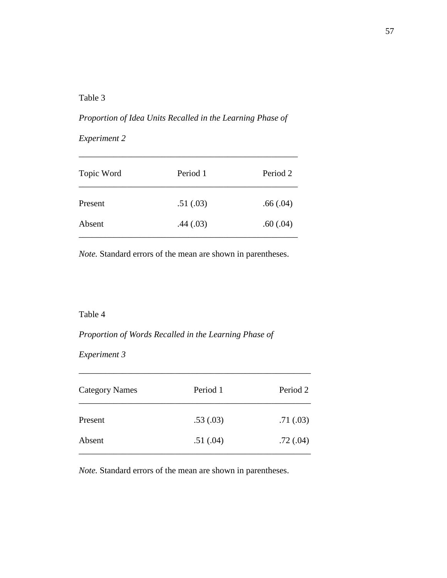## Table 3

# Proportion of Idea Units Recalled in the Learning Phase of<br>Experiment 2

| Topic Word | Period 1 | Period 2 |
|------------|----------|----------|
| Present    | .51(.03) | .66(.04) |
| Absent     | .44(.03) | .60(.04) |

\_\_\_\_\_\_\_\_\_\_\_\_\_\_\_\_\_\_\_\_\_\_\_\_\_\_\_\_\_\_\_\_\_\_\_\_\_\_\_\_\_\_\_\_\_\_\_\_\_\_

*Note.* Standard errors of the mean are shown in parentheses.

## Table 4

 *Proportion of Words Recalled in the Learning Phase of* 

*Experiment 3* 

| <b>Category Names</b> | Period 1 | Period 2  |
|-----------------------|----------|-----------|
| Present               | .53(.03) | .71(0.03) |
| Absent                | .51(.04) | .72(0.04) |

\_\_\_\_\_\_\_\_\_\_\_\_\_\_\_\_\_\_\_\_\_\_\_\_\_\_\_\_\_\_\_\_\_\_\_\_\_\_\_\_\_\_\_\_\_\_\_\_\_\_\_\_\_

*Note.* Standard errors of the mean are shown in parentheses.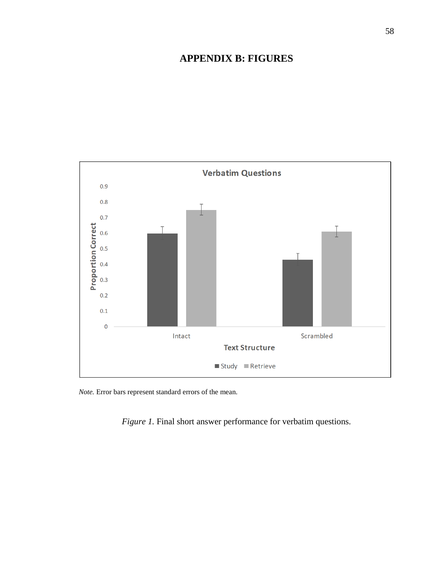## **APPENDIX B: FIGURES**



*Note.* Error bars represent standard errors of the mean.

*Figure 1.* Final short answer performance for verbatim questions.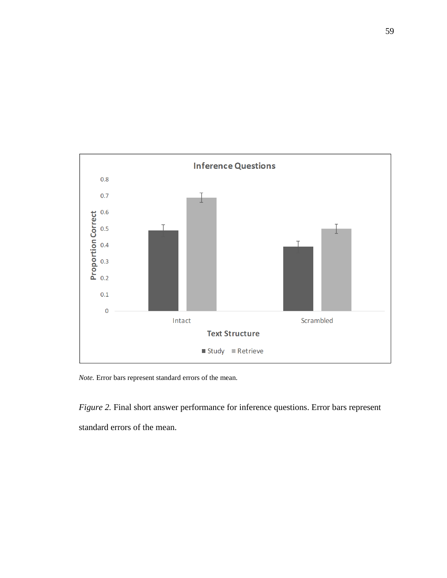

*Note.* Error bars represent standard errors of the mean.

*Figure 2.* Final short answer performance for inference questions. Error bars represent standard errors of the mean.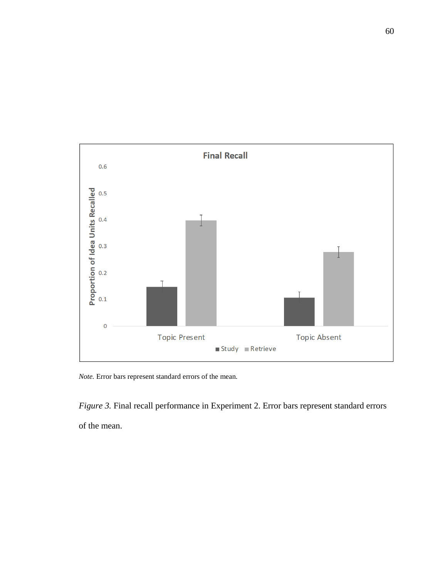

*Note.* Error bars represent standard errors of the mean.

*Figure 3.* Final recall performance in Experiment 2. Error bars represent standard errors of the mean.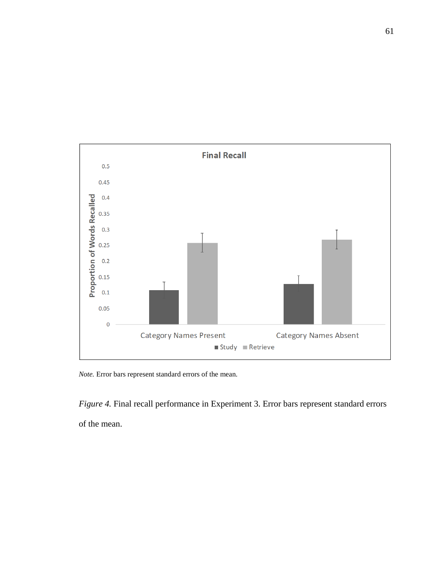

*Note.* Error bars represent standard errors of the mean.

*Figure 4.* Final recall performance in Experiment 3. Error bars represent standard errors of the mean.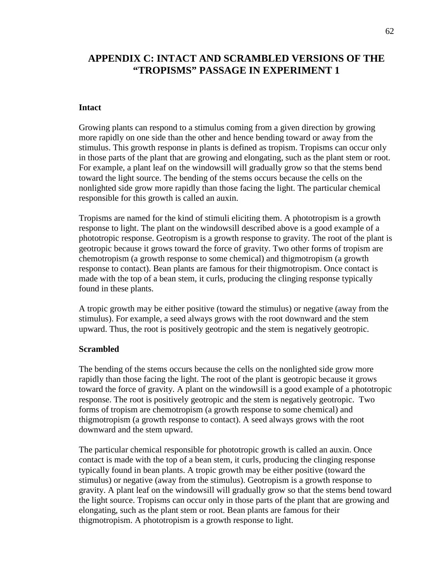## **APPENDIX C: INTACT AND SCRAMBLED VERSIONS OF THE "TROPISMS" PASSAGE IN EXPERIMENT 1**

#### **Intact**

 Growing plants can respond to a stimulus coming from a given direction by growing more rapidly on one side than the other and hence bending toward or away from the in those parts of the plant that are growing and elongating, such as the plant stem or root. stimulus. This growth response in plants is defined as tropism. Tropisms can occur only For example, a plant leaf on the windowsill will gradually grow so that the stems bend toward the light source. The bending of the stems occurs because the cells on the nonlighted side grow more rapidly than those facing the light. The particular chemical responsible for this growth is called an auxin.

 made with the top of a bean stem, it curls, producing the clinging response typically Tropisms are named for the kind of stimuli eliciting them. A phototropism is a growth response to light. The plant on the windowsill described above is a good example of a phototropic response. Geotropism is a growth response to gravity. The root of the plant is geotropic because it grows toward the force of gravity. Two other forms of tropism are chemotropism (a growth response to some chemical) and thigmotropism (a growth response to contact). Bean plants are famous for their thigmotropism. Once contact is found in these plants.

 upward. Thus, the root is positively geotropic and the stem is negatively geotropic. A tropic growth may be either positive (toward the stimulus) or negative (away from the stimulus). For example, a seed always grows with the root downward and the stem

## **Scrambled**

 The bending of the stems occurs because the cells on the nonlighted side grow more rapidly than those facing the light. The root of the plant is geotropic because it grows toward the force of gravity. A plant on the windowsill is a good example of a phototropic response. The root is positively geotropic and the stem is negatively geotropic. Two downward and the stem upward. forms of tropism are chemotropism (a growth response to some chemical) and thigmotropism (a growth response to contact). A seed always grows with the root

 contact is made with the top of a bean stem, it curls, producing the clinging response typically found in bean plants. A tropic growth may be either positive (toward the stimulus) or negative (away from the stimulus). Geotropism is a growth response to the light source. Tropisms can occur only in those parts of the plant that are growing and The particular chemical responsible for phototropic growth is called an auxin. Once gravity. A plant leaf on the windowsill will gradually grow so that the stems bend toward elongating, such as the plant stem or root. Bean plants are famous for their thigmotropism. A phototropism is a growth response to light.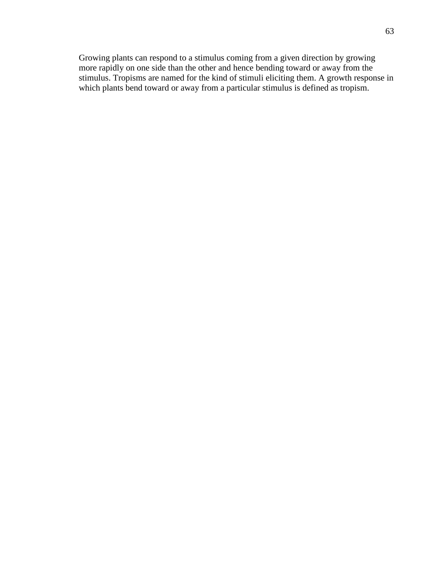Growing plants can respond to a stimulus coming from a given direction by growing more rapidly on one side than the other and hence bending toward or away from the stimulus. Tropisms are named for the kind of stimuli eliciting them. A growth response in which plants bend toward or away from a particular stimulus is defined as tropism.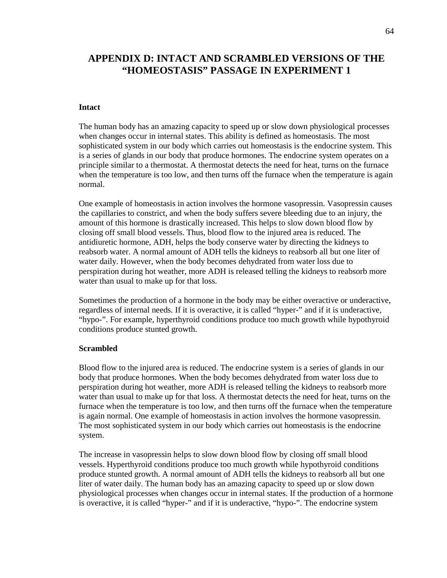## **APPENDIX D: INTACT AND SCRAMBLED VERSIONS OF THE "HOMEOSTASIS" PASSAGE IN EXPERIMENT 1**

#### **Intact**

 principle similar to a thermostat. A thermostat detects the need for heat, turns on the furnace The human body has an amazing capacity to speed up or slow down physiological processes when changes occur in internal states. This ability is defined as homeostasis. The most sophisticated system in our body which carries out homeostasis is the endocrine system. This is a series of glands in our body that produce hormones. The endocrine system operates on a when the temperature is too low, and then turns off the furnace when the temperature is again normal.

 reabsorb water. A normal amount of ADH tells the kidneys to reabsorb all but one liter of One example of homeostasis in action involves the hormone vasopressin. Vasopressin causes the capillaries to constrict, and when the body suffers severe bleeding due to an injury, the amount of this hormone is drastically increased. This helps to slow down blood flow by closing off small blood vessels. Thus, blood flow to the injured area is reduced. The antidiuretic hormone, ADH, helps the body conserve water by directing the kidneys to water daily. However, when the body becomes dehydrated from water loss due to perspiration during hot weather, more ADH is released telling the kidneys to reabsorb more water than usual to make up for that loss.

Sometimes the production of a hormone in the body may be either overactive or underactive, regardless of internal needs. If it is overactive, it is called "hyper-" and if it is underactive, "hypo-". For example, hyperthyroid conditions produce too much growth while hypothyroid conditions produce stunted growth.

#### **Scrambled**

Blood flow to the injured area is reduced. The endocrine system is a series of glands in our body that produce hormones. When the body becomes dehydrated from water loss due to perspiration during hot weather, more ADH is released telling the kidneys to reabsorb more water than usual to make up for that loss. A thermostat detects the need for heat, turns on the furnace when the temperature is too low, and then turns off the furnace when the temperature is again normal. One example of homeostasis in action involves the hormone vasopressin. The most sophisticated system in our body which carries out homeostasis is the endocrine system.

 is overactive, it is called "hyper-" and if it is underactive, "hypo-". The endocrine system The increase in vasopressin helps to slow down blood flow by closing off small blood vessels. Hyperthyroid conditions produce too much growth while hypothyroid conditions produce stunted growth. A normal amount of ADH tells the kidneys to reabsorb all but one liter of water daily. The human body has an amazing capacity to speed up or slow down physiological processes when changes occur in internal states. If the production of a hormone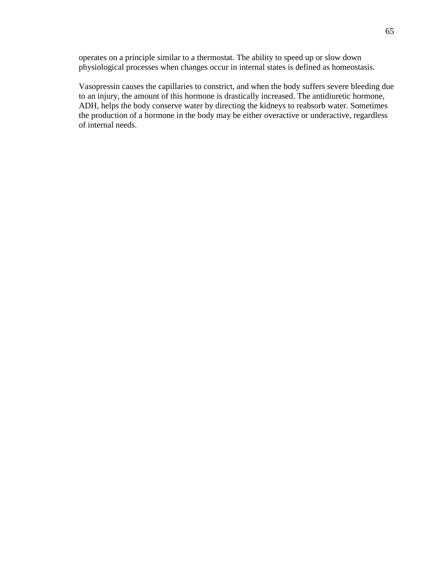operates on a principle similar to a thermostat. The ability to speed up or slow down physiological processes when changes occur in internal states is defined as homeostasis.

Vasopressin causes the capillaries to constrict, and when the body suffers severe bleeding due to an injury, the amount of this hormone is drastically increased. The antidiuretic hormone, ADH, helps the body conserve water by directing the kidneys to reabsorb water. Sometimes the production of a hormone in the body may be either overactive or underactive, regardless of internal needs.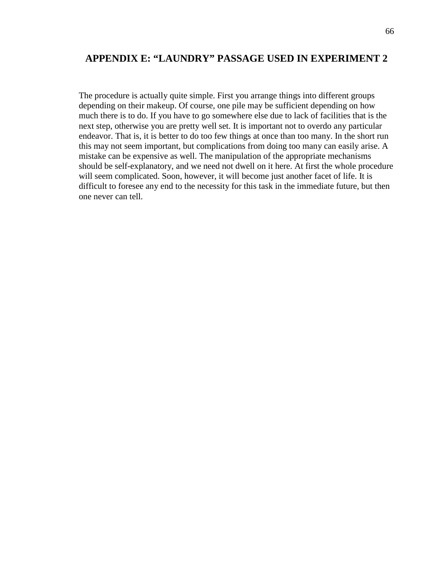### **APPENDIX E: "LAUNDRY" PASSAGE USED IN EXPERIMENT 2**

 will seem complicated. Soon, however, it will become just another facet of life. It is one never can tell. The procedure is actually quite simple. First you arrange things into different groups depending on their makeup. Of course, one pile may be sufficient depending on how much there is to do. If you have to go somewhere else due to lack of facilities that is the next step, otherwise you are pretty well set. It is important not to overdo any particular endeavor. That is, it is better to do too few things at once than too many. In the short run this may not seem important, but complications from doing too many can easily arise. A mistake can be expensive as well. The manipulation of the appropriate mechanisms should be self-explanatory, and we need not dwell on it here. At first the whole procedure difficult to foresee any end to the necessity for this task in the immediate future, but then